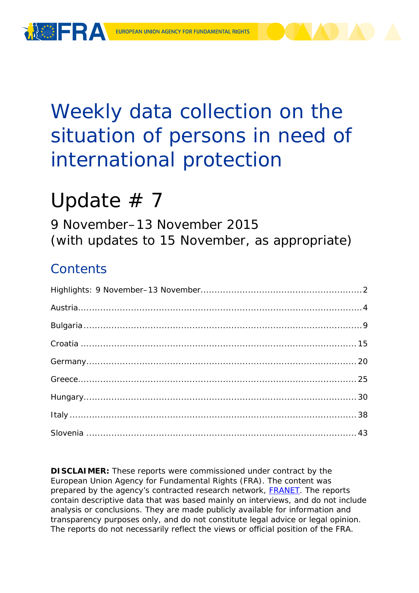

# Weekly data collection on the situation of persons in need of international protection

# Update  $# 7$

9 November–13 November 2015 (with updates to 15 November, as appropriate)

## **Contents**

**DISCLAIMER:** These reports were commissioned under contract by the European Union Agency for Fundamental Rights (FRA). The content was prepared by the agency's contracted research network, **FRANET**. The reports contain descriptive data that was based mainly on interviews, and do not include analysis or conclusions. They are made publicly available for information and transparency purposes only, and do not constitute legal advice or legal opinion. The reports do not necessarily reflect the views or official position of the FRA.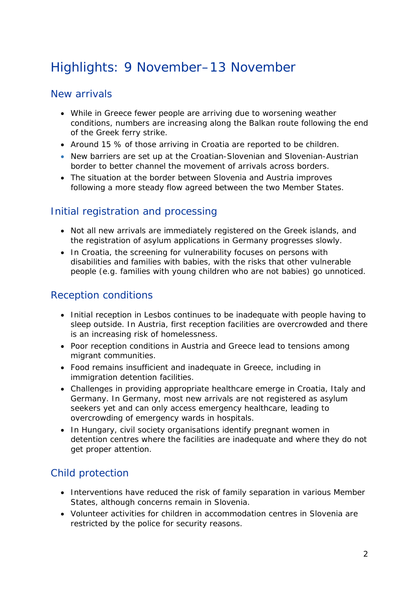## <span id="page-1-0"></span>Highlights: 9 November–13 November

## New arrivals

- While in Greece fewer people are arriving due to worsening weather conditions, numbers are increasing along the Balkan route following the end of the Greek ferry strike.
- Around 15 % of those arriving in Croatia are reported to be children.
- New barriers are set up at the Croatian-Slovenian and Slovenian-Austrian border to better channel the movement of arrivals across borders.
- The situation at the border between Slovenia and Austria improves following a more steady flow agreed between the two Member States.

## Initial registration and processing

- Not all new arrivals are immediately registered on the Greek islands, and the registration of asylum applications in Germany progresses slowly.
- In Croatia, the screening for vulnerability focuses on persons with disabilities and families with babies, with the risks that other vulnerable people (e.g. families with young children who are not babies) go unnoticed.

## Reception conditions

- Initial reception in Lesbos continues to be inadequate with people having to sleep outside. In Austria, first reception facilities are overcrowded and there is an increasing risk of homelessness.
- Poor reception conditions in Austria and Greece lead to tensions among migrant communities.
- Food remains insufficient and inadequate in Greece, including in immigration detention facilities.
- Challenges in providing appropriate healthcare emerge in Croatia, Italy and Germany. In Germany, most new arrivals are not registered as asylum seekers yet and can only access emergency healthcare, leading to overcrowding of emergency wards in hospitals.
- In Hungary, civil society organisations identify pregnant women in detention centres where the facilities are inadequate and where they do not get proper attention.

## Child protection

- Interventions have reduced the risk of family separation in various Member States, although concerns remain in Slovenia.
- Volunteer activities for children in accommodation centres in Slovenia are restricted by the police for security reasons.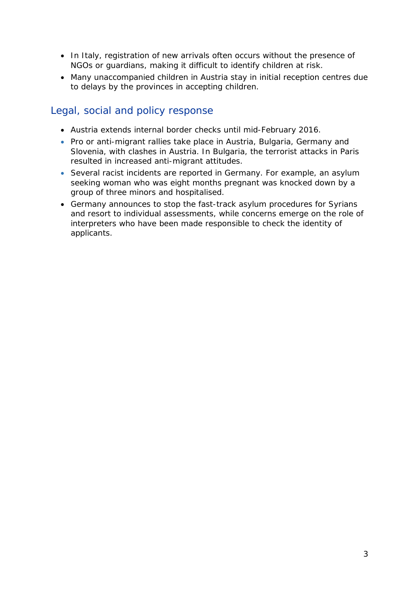- In Italy, registration of new arrivals often occurs without the presence of NGOs or guardians, making it difficult to identify children at risk.
- Many unaccompanied children in Austria stay in initial reception centres due to delays by the provinces in accepting children.

## Legal, social and policy response

- Austria extends internal border checks until mid-February 2016.
- Pro or anti-migrant rallies take place in Austria, Bulgaria, Germany and Slovenia, with clashes in Austria. In Bulgaria, the terrorist attacks in Paris resulted in increased anti-migrant attitudes.
- Several racist incidents are reported in Germany. For example, an asylum seeking woman who was eight months pregnant was knocked down by a group of three minors and hospitalised.
- Germany announces to stop the fast-track asylum procedures for Syrians and resort to individual assessments, while concerns emerge on the role of interpreters who have been made responsible to check the identity of applicants.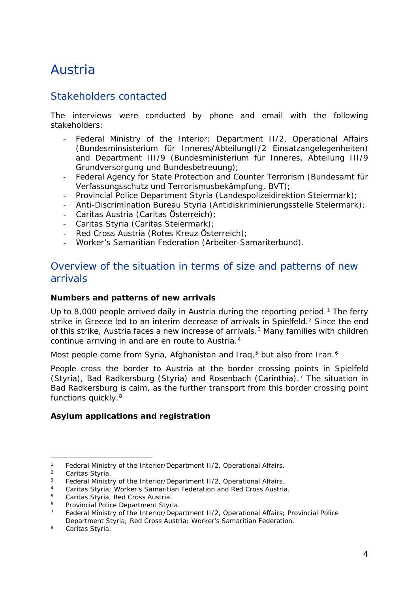## <span id="page-3-0"></span>Austria

## Stakeholders contacted

The interviews were conducted by phone and email with the following stakeholders:

- Federal Ministry of the Interior: Department II/2, Operational Affairs *(Bundesminsisterium für Inneres/AbteilungII/2 Einsatzangelegenheiten)*  and Department III/9 *(Bundesministerium für Inneres, Abteilung III/9 Grundversorgung und Bundesbetreuung)*;
- Federal Agency for State Protection and Counter Terrorism *(Bundesamt für Verfassungsschutz und Terrorismusbekämpfung, BVT)*;
- Provincial Police Department Styria *(Landespolizeidirektion Steiermark)*;
- Anti-Discrimination Bureau Styria (*Antidiskriminierungsstelle Steiermark)*;
- Caritas Austria *(Caritas Österreich)*;
- Caritas Styria *(Caritas Steiermark)*;
- Red Cross Austria *(Rotes Kreuz Österreich)*;
- Worker's Samaritian Federation *(Arbeiter-Samariterbund)*.

### Overview of the situation in terms of size and patterns of new arrivals

#### **Numbers and patterns of new arrivals**

Up to 8,000 people arrived daily in Austria during the reporting period.<sup>[1](#page-3-1)</sup> The ferry strike in Greece led to an interim decrease of arrivals in Spielfeld.<sup>[2](#page-3-2)</sup> Since the end of this strike, Austria faces a new increase of arrivals.<sup>[3](#page-3-3)</sup> Many families with children continue arriving in and are *en route* to Austria.[4](#page-3-4)

Most people come from Syria, Afghanistan and Iraq,<sup>[5](#page-3-5)</sup> but also from Iran.<sup>[6](#page-3-6)</sup>

People cross the border to Austria at the border crossing points in Spielfeld (Styria), Bad Radkersburg (Styria) and Rosenbach (Carinthia).[7](#page-3-7) The situation in Bad Radkersburg is calm, as the further transport from this border crossing point functions quickly.[8](#page-3-8)

#### **Asylum applications and registration**

<sup>1</sup> Federal Ministry of the Interior/Department II/2, Operational Affairs*.* j.

<span id="page-3-2"></span><span id="page-3-1"></span><sup>&</sup>lt;sup>2</sup> Caritas Styria.<br><sup>3</sup> Eederal Ministr

<span id="page-3-3"></span><sup>&</sup>lt;sup>3</sup> Federal Ministry of the Interior/Department II/2, Operational Affairs.<br><sup>4</sup> Caritas Sturia: Warker's Samaritian Eoderation and Pod Cross Austria

<span id="page-3-4"></span><sup>4</sup> Caritas Styria; Worker's Samaritian Federation and Red Cross Austria*.*

<span id="page-3-5"></span><sup>5</sup> Caritas Styria, Red Cross Austria*.*

<span id="page-3-6"></span><sup>6</sup> Provincial Police Department Styria*.*

<span id="page-3-7"></span><sup>7</sup> Federal Ministry of the Interior/Department II/2, Operational Affairs; Provincial Police Department Styria; Red Cross Austria; Worker's Samaritian Federation*.*

<span id="page-3-8"></span><sup>8</sup> Caritas Styria*.*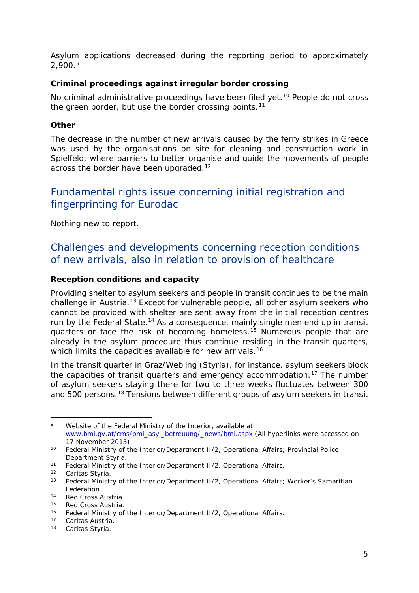<span id="page-4-2"></span>Asylum applications decreased during the reporting period to approximately  $2.900.<sup>9</sup>$  $2.900.<sup>9</sup>$  $2.900.<sup>9</sup>$ 

#### **Criminal proceedings against irregular border crossing**

No criminal administrative proceedings have been filed yet.<sup>[10](#page-4-1)</sup> People do not cross the green border, but use the border crossing points.<sup>[11](#page-4-2)</sup>

#### **Other**

The decrease in the number of new arrivals caused by the ferry strikes in Greece was used by the organisations on site for cleaning and construction work in Spielfeld, where barriers to better organise and guide the movements of people across the border have been upgraded.<sup>[12](#page-4-3)</sup>

## Fundamental rights issue concerning initial registration and fingerprinting for Eurodac

Nothing new to report.

## Challenges and developments concerning reception conditions of new arrivals, also in relation to provision of healthcare

#### **Reception conditions and capacity**

Providing shelter to asylum seekers and people in transit continues to be the main challenge in Austria.<sup>[13](#page-4-4)</sup> Except for vulnerable people, all other asylum seekers who cannot be provided with shelter are sent away from the initial reception centres run by the Federal State.<sup>14</sup> As a consequence, mainly single men end up in transit quarters or face the risk of becoming homeless.<sup>[15](#page-4-2)</sup> Numerous people that are already in the asylum procedure thus continue residing in the transit quarters, which limits the capacities available for new arrivals.<sup>[16](#page-4-2)</sup>

In the transit quarter in Graz/Webling (Styria), for instance, asylum seekers block the capacities of transit quarters and emergency accommodation.[17](#page-4-5) The number of asylum seekers staying there for two to three weeks fluctuates between 300 and 500 persons.[18](#page-4-2) Tensions between different groups of asylum seekers in transit

<span id="page-4-0"></span><sup>9</sup> Website of the Federal Ministry of the Interior, available at: [www.bmi.gv.at/cms/bmi\\_asyl\\_betreuung/\\_news/bmi.aspx](http://www.bmi.gv.at/cms/bmi_asyl_betreuung/_news/bmi.aspx) (All hyperlinks were accessed on 17 November 2015) -

<span id="page-4-1"></span><sup>10</sup> Federal Ministry of the Interior/Department II/2, Operational Affairs; Provincial Police Department Styria*.*

<sup>11</sup> Federal Ministry of the Interior/Department II/2, Operational Affairs*.*

<span id="page-4-3"></span><sup>12</sup> Caritas Styria*.*

<span id="page-4-4"></span><sup>&</sup>lt;sup>13</sup> Federal Ministry of the Interior/Department II/2, Operational Affairs; Worker's Samaritian Federation*.*

<sup>14</sup> Red Cross Austria.

<sup>15</sup> Red Cross Austria.

<sup>16</sup> Federal Ministry of the Interior/Department II/2, Operational Affairs*.*

<span id="page-4-5"></span><sup>17</sup> Caritas Austria.

<sup>18</sup> Caritas Styria*.*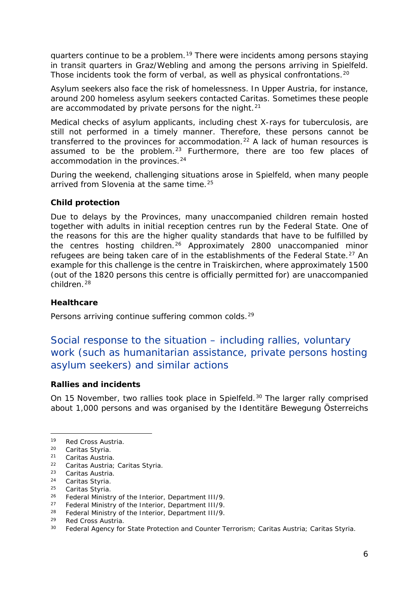<span id="page-5-4"></span>quarters continue to be a problem.[19](#page-5-0) There were incidents among persons staying in transit quarters in Graz/Webling and among the persons arriving in Spielfeld. Those incidents took the form of verbal, as well as physical confrontations.<sup>[20](#page-5-1)</sup>

Asylum seekers also face the risk of homelessness. In Upper Austria, for instance, around 200 homeless asylum seekers contacted Caritas. Sometimes these people are accommodated by private persons for the night. $21$ 

Medical checks of asylum applicants, including chest X-rays for tuberculosis, are still not performed in a timely manner. Therefore, these persons cannot be transferred to the provinces for accommodation.<sup>[22](#page-5-3)</sup> A lack of human resources is assumed to be the problem.<sup>[23](#page-5-4)</sup> Furthermore, there are too few places of accommodation in the provinces.<sup>[24](#page-5-4)</sup>

During the weekend, challenging situations arose in Spielfeld, when many people arrived from Slovenia at the same time.<sup>[25](#page-5-5)</sup>

#### **Child protection**

Due to delays by the Provinces, many unaccompanied children remain hosted together with adults in initial reception centres run by the Federal State. One of the reasons for this are the higher quality standards that have to be fulfilled by the centres hosting children.[26](#page-5-6) Approximately 2800 unaccompanied minor refugees are being taken care of in the establishments of the Federal State.<sup>[27](#page-5-4)</sup> An example for this challenge is the centre in Traiskirchen, where approximately 1500 (out of the 1820 persons this centre is officially permitted for) are unaccompanied children.[28](#page-5-4)

#### **Healthcare**

Persons arriving continue suffering common colds.<sup>[29](#page-5-7)</sup>

## Social response to the situation – including rallies, voluntary work (such as humanitarian assistance, private persons hosting asylum seekers) and similar actions

#### **Rallies and incidents**

On 15 November, two rallies took place in Spielfeld.<sup>[30](#page-5-8)</sup> The larger rally comprised about 1,000 persons and was organised by the *Identitäre Bewegung Österreichs* 

-

<span id="page-5-0"></span><sup>19</sup> Red Cross Austria.

<span id="page-5-1"></span><sup>20</sup> Caritas Styria*.*

<span id="page-5-2"></span><sup>21</sup> Caritas Austria.

<span id="page-5-3"></span><sup>22</sup> Caritas Austria; Caritas Styria.

 $23$  Caritas Austria.<br>  $24$  Caritas Styria

<sup>24</sup> Caritas Styria*.*

<span id="page-5-5"></span><sup>25</sup> Caritas Styria*.*

<span id="page-5-6"></span><sup>26</sup> Federal Ministry of the Interior, Department III/9*.*

<sup>27</sup> Federal Ministry of the Interior, Department III/9*.*

<sup>28</sup> Federal Ministry of the Interior, Department III/9*.*

<span id="page-5-7"></span><sup>29</sup> Red Cross Austria.

<span id="page-5-8"></span><sup>30</sup> Federal Agency for State Protection and Counter Terrorism; Caritas Austria; Caritas Styria*.*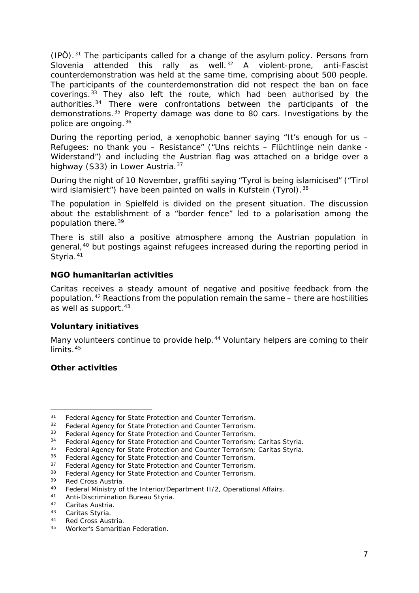<span id="page-6-10"></span>*(IPÖ)*[.31](#page-6-0) The participants called for a change of the asylum policy. Persons from Slovenia attended this rally as well.<sup>[32](#page-6-1)</sup> A violent-prone, anti-Fascist counterdemonstration was held at the same time, comprising about 500 people. The participants of the counterdemonstration did not respect the ban on face coverings.[33](#page-6-2) They also left the route, which had been authorised by the authorities.[34](#page-6-3) There were confrontations between the participants of the demonstrations.[35](#page-6-4) Property damage was done to 80 cars. Investigations by the police are ongoing.[36](#page-6-5)

During the reporting period, a xenophobic banner saying "It's enough for us – Refugees: no thank you – Resistance" *("Uns reichts – Flüchtlinge nein danke - Widerstand")* and including the Austrian flag was attached on a bridge over a highway (S33) in Lower Austria.[37](#page-6-6)

During the night of 10 November, graffiti saying "Tyrol is being islamicised" *("Tirol wird islamisiert"*) have been painted on walls in Kufstein (Tyrol).<sup>[38](#page-6-7)</sup>

The population in Spielfeld is divided on the present situation. The discussion about the establishment of a "border fence" led to a polarisation among the population there.[39](#page-6-8)

There is still also a positive atmosphere among the Austrian population in general,<sup>[40](#page-6-9)</sup> but postings against refugees increased during the reporting period in Styria.<sup>[41](#page-6-10)</sup>

#### **NGO humanitarian activities**

Caritas receives a steady amount of negative and positive feedback from the population.<sup>[42](#page-6-11)</sup> Reactions from the population remain the same  $-$  there are hostilities as well as support.<sup>[43](#page-6-10)</sup>

#### **Voluntary initiatives**

Many volunteers continue to provide help.<sup>[44](#page-6-12)</sup> Voluntary helpers are coming to their limits.<sup>[45](#page-6-10)</sup>

#### **Other activities**

<sup>31</sup> Federal Agency for State Protection and Counter Terrorism*.* -

<span id="page-6-1"></span><span id="page-6-0"></span><sup>32</sup> Federal Agency for State Protection and Counter Terrorism*.*

<span id="page-6-2"></span><sup>33</sup> Federal Agency for State Protection and Counter Terrorism*.*

<span id="page-6-3"></span><sup>34</sup> Federal Agency for State Protection and Counter Terrorism; Caritas Styria*.*

<span id="page-6-4"></span><sup>35</sup> Federal Agency for State Protection and Counter Terrorism; Caritas Styria*.*

<span id="page-6-5"></span><sup>36</sup> Federal Agency for State Protection and Counter Terrorism*.*

<span id="page-6-6"></span><sup>37</sup> Federal Agency for State Protection and Counter Terrorism*.*

<span id="page-6-7"></span><sup>38</sup> Federal Agency for State Protection and Counter Terrorism*.*

<span id="page-6-8"></span><sup>&</sup>lt;sup>39</sup> Red Cross Austria.<br><sup>40</sup> Eederal Ministry of

<span id="page-6-9"></span><sup>40</sup> Federal Ministry of the Interior/Department II/2, Operational Affairs.<br>41 Apti Discrimination Bureau Styria

<sup>41</sup> Anti-Discrimination Bureau Styria*.*

<sup>42</sup> Caritas Austria.

<span id="page-6-11"></span><sup>43</sup> Caritas Styria*.*

<span id="page-6-12"></span><sup>44</sup> Red Cross Austria.

<sup>45</sup> Worker's Samaritian Federation*.*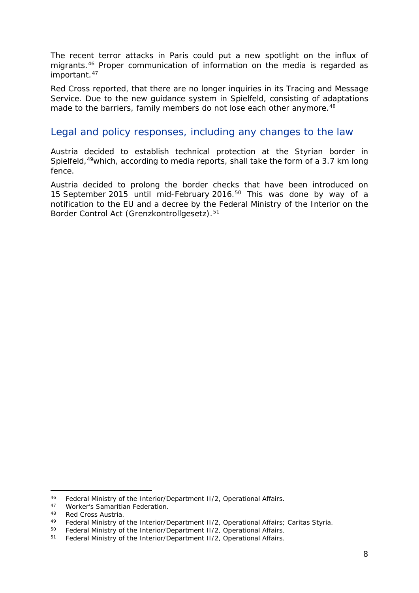<span id="page-7-1"></span>The recent terror attacks in Paris could put a new spotlight on the influx of migrants.[46](#page-7-0) Proper communication of information on the media is regarded as important.<sup>[47](#page-7-1)</sup>

Red Cross reported, that there are no longer inquiries in its Tracing and Message Service. Due to the new guidance system in Spielfeld, consisting of adaptations made to the barriers, family members do not lose each other anymore.<sup>[48](#page-7-2)</sup>

## Legal and policy responses, including any changes to the law

Austria decided to establish technical protection at the Styrian border in Spielfeld,<sup>49</sup>which, according to media reports, shall take the form of a 3.7 km long fence.

Austria decided to prolong the border checks that have been introduced on 15 September 2015 until mid-February 2016.[50](#page-7-4) This was done by way of a notification to the EU and a decree by the Federal Ministry of the Interior on the Border Control Act *(Grenzkontrollgesetz)*.[51](#page-7-1)

-

<span id="page-7-0"></span><sup>46</sup> Federal Ministry of the Interior/Department II/2, Operational Affairs.

<sup>47</sup> Worker's Samaritian Federation*.*

<span id="page-7-2"></span><sup>48</sup> Red Cross Austria.<br>49 Eederal Ministry of

<span id="page-7-3"></span><sup>49</sup> Federal Ministry of the Interior/Department II/2, Operational Affairs; Caritas Styria.<br>50 Federal Ministry of the Interior/Department II/2, Operational Affairs

<span id="page-7-4"></span><sup>&</sup>lt;sup>50</sup> Federal Ministry of the Interior/Department II/2, Operational Affairs.<br><sup>51</sup> Eederal Ministry of the Interior/Department II/2, Operational Affairs

<sup>51</sup> Federal Ministry of the Interior/Department II/2, Operational Affairs*.*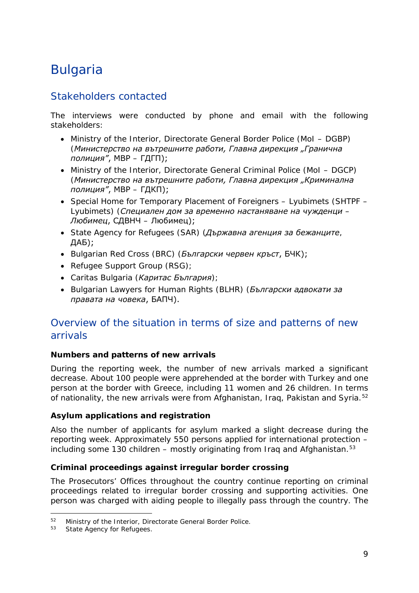## <span id="page-8-0"></span>Bulgaria

## Stakeholders contacted

The interviews were conducted by phone and email with the following stakeholders:

- Ministry of the Interior, Directorate General Border Police (MoI DGBP) (*Министерство на вътрешните работи, Главна дирекция "Гранична полиция"*, МВР – ГДГП);
- Ministry of the Interior, Directorate General Criminal Police (MoI DGCP) (*Министерство на вътрешните работи, Главна дирекция "Криминална полиция"*, МВР – ГДКП);
- Special Home for Temporary Placement of Foreigners Lyubimets (SHTPF Lyubimets) (*Специален дом за временно настаняване на чужденци – Любимец*, СДВНЧ – Любимец);
- State Agency for Refugees (SAR) (*Държавна агенция за бежанците*, ДАБ);
- Bulgarian Red Cross (BRC) (*Български червен кръст*, БЧК);
- Refugee Support Group (RSG);
- Caritas Bulgaria (*Каритас България*);
- Bulgarian Lawyers for Human Rights (BLHR) (*Български адвокати за правата на човека*, БАПЧ).

## Overview of the situation in terms of size and patterns of new arrivals

#### **Numbers and patterns of new arrivals**

During the reporting week, the number of new arrivals marked a significant decrease. About 100 people were apprehended at the border with Turkey and one person at the border with Greece, including 11 women and 26 children. In terms of nationality, the new arrivals were from Afghanistan, Iraq, Pakistan and Syria.<sup>[52](#page-8-1)</sup>

#### **Asylum applications and registration**

Also the number of applicants for asylum marked a slight decrease during the reporting week. Approximately 550 persons applied for international protection – including some 130 children – mostly originating from Iraq and Afghanistan. $53$ 

#### **Criminal proceedings against irregular border crossing**

The Prosecutors' Offices throughout the country continue reporting on criminal proceedings related to irregular border crossing and supporting activities. One person was charged with aiding people to illegally pass through the country. The

<span id="page-8-2"></span><span id="page-8-1"></span> $52$  Ministry of the Interior, Directorate General Border Police.<br> $53$  State Agency for Refugees  $52$ 

State Agency for Refugees.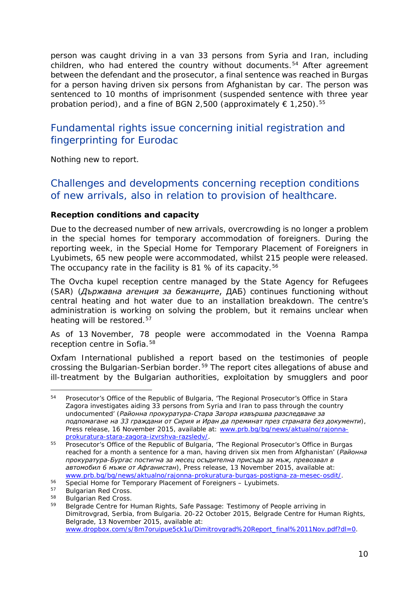person was caught driving in a van 33 persons from Syria and Iran, including children, who had entered the country without documents.<sup>[54](#page-9-0)</sup> After agreement between the defendant and the prosecutor, a final sentence was reached in Burgas for a person having driven six persons from Afghanistan by car. The person was sentenced to 10 months of imprisonment (suspended sentence with three year probation period), and a fine of BGN 2,500 (approximately  $\epsilon$  1,250).<sup>[55](#page-9-1)</sup>

## Fundamental rights issue concerning initial registration and fingerprinting for Eurodac

Nothing new to report.

## Challenges and developments concerning reception conditions of new arrivals, also in relation to provision of healthcare.

#### **Reception conditions and capacity**

Due to the decreased number of new arrivals, overcrowding is no longer a problem in the special homes for temporary accommodation of foreigners. During the reporting week, in the Special Home for Temporary Placement of Foreigners in Lyubimets, 65 new people were accommodated, whilst 215 people were released. The occupancy rate in the facility is 81 % of its capacity.<sup>[56](#page-9-2)</sup>

The Ovcha kupel reception centre managed by the State Agency for Refugees (SAR) (*Държавна агенция за бежанците*, ДАБ) continues functioning without central heating and hot water due to an installation breakdown. The centre's administration is working on solving the problem, but it remains unclear when heating will be restored.<sup>[57](#page-9-3)</sup>

As of 13 November, 78 people were accommodated in the Voenna Rampa reception centre in Sofia.<sup>[58](#page-9-4)</sup>

Oxfam International published a report based on the testimonies of people crossing the Bulgarian-Serbian border.[59](#page-9-5) The report cites allegations of abuse and ill-treatment by the Bulgarian authorities, exploitation by smugglers and poor

<span id="page-9-0"></span>Prosecutor's Office of the Republic of Bulgaria, 'The Regional Prosecutor's Office in Stara Zagora investigates aiding 33 persons from Syria and Iran to pass through the country undocumented' (*Районна прокуратура-Стара Загора извършва разследване за подпомагане на 33 граждани от Сирия и Иран да преминат през страната без документи*)*,*  Press release, 16 November 2015, available at: [www.prb.bg/bg/news/aktualno/rajonna](http://www.prb.bg/bg/news/aktualno/rajonna-prokuratura-stara-zagora-izvrshva-razsledv/)[prokuratura-stara-zagora-izvrshva-razsledv/.](http://www.prb.bg/bg/news/aktualno/rajonna-prokuratura-stara-zagora-izvrshva-razsledv/) 54

<span id="page-9-1"></span><sup>55</sup> Prosecutor's Office of the Republic of Bulgaria, 'The Regional Prosecutor's Office in Burgas reached for a month a sentence for a man, having driven six men from Afghanistan' (*Районна прокуратура-Бургас постигна за месец осъдителна присъда за мъж, превозвал в автомобил 6 мъже от Афганистан*)*,* Press release, 13 November 2015, available at: [www.prb.bg/bg/news/aktualno/rajonna-prokuratura-burgas-postigna-za-mesec-osdit/.](http://www.prb.bg/bg/news/aktualno/rajonna-prokuratura-burgas-postigna-za-mesec-osdit/)

<span id="page-9-2"></span><sup>56</sup> Special Home for Temporary Placement of Foreigners – Lyubimets.<br>57 Bulgarian Red Cross.<br>58 Bulgarian Red Cross.

<span id="page-9-5"></span><span id="page-9-4"></span><span id="page-9-3"></span> $58$  Bulgarian Red Cross.<br> $59$  Belgrade Centre for L

<sup>59</sup> Belgrade Centre for Human Rights, Safe Passage: Testimony of People arriving in Dimitrovgrad, Serbia, from Bulgaria. 20-22 October 2015, Belgrade Centre for Human Rights, Belgrade, 13 November 2015, available at: [www.dropbox.com/s/8m7oruipue5ck1u/Dimitrovgrad%20Report\\_final%2011Nov.pdf?dl=0.](http://www.dropbox.com/s/8m7oruipue5ck1u/Dimitrovgrad%20Report_final%2011Nov.pdf?dl=0)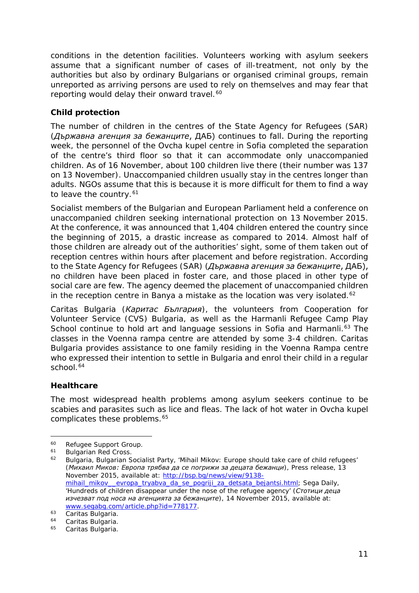<span id="page-10-4"></span>conditions in the detention facilities. Volunteers working with asylum seekers assume that a significant number of cases of ill-treatment, not only by the authorities but also by ordinary Bulgarians or organised criminal groups, remain unreported as arriving persons are used to rely on themselves and may fear that reporting would delay their onward travel.<sup>[60](#page-10-0)</sup>

#### **Child protection**

The number of children in the centres of the State Agency for Refugees (SAR) (*Държавна агенция за бежанците*, ДАБ) continues to fall. During the reporting week, the personnel of the Ovcha kupel centre in Sofia completed the separation of the centre's third floor so that it can accommodate only unaccompanied children. As of 16 November, about 100 children live there (their number was 137 on 13 November). Unaccompanied children usually stay in the centres longer than adults. NGOs assume that this is because it is more difficult for them to find a way to leave the country.<sup>[61](#page-10-1)</sup>

Socialist members of the Bulgarian and European Parliament held a conference on unaccompanied children seeking international protection on 13 November 2015. At the conference, it was announced that 1,404 children entered the country since the beginning of 2015, a drastic increase as compared to 2014. Almost half of those children are already out of the authorities' sight, some of them taken out of reception centres within hours after placement and before registration. According to the State Agency for Refugees (SAR) (*Държавна агенция за бежанците*, ДАБ), no children have been placed in foster care, and those placed in other type of social care are few. The agency deemed the placement of unaccompanied children in the reception centre in Banya a mistake as the location was very isolated.<sup>[62](#page-10-2)</sup>

Caritas Bulgaria (*Каритас България*), the volunteers from Cooperation for Volunteer Service (CVS) Bulgaria, as well as the Harmanli Refugee Camp Play School continue to hold art and language sessions in Sofia and Harmanli.<sup>[63](#page-10-3)</sup> The classes in the Voenna rampa centre are attended by some 3-4 children. Caritas Bulgaria provides assistance to one family residing in the Voenna Rampa centre who expressed their intention to settle in Bulgaria and enrol their child in a regular school.<sup>[64](#page-10-4)</sup>

#### **Healthcare**

The most widespread health problems among asylum seekers continue to be scabies and parasites such as lice and fleas. The lack of hot water in Ovcha kupel complicates these problems.<sup>[65](#page-10-5)</sup>

<span id="page-10-0"></span><sup>&</sup>lt;sup>60</sup> Refugee Support Group.<br><sup>61</sup> Bulgarian Ped Cross  $60 -$ 

<span id="page-10-1"></span> $^{61}$  Bulgarian Red Cross.<br> $^{62}$  Bulgaria Bulgarian S

<span id="page-10-2"></span><sup>62</sup> Bulgaria, Bulgarian Socialist Party, 'Mihail Mikov: Europe should take care of child refugees' (*Михаил Миков: Европа трябва да се погрижи за децата бежанци*)*,* Press release, 13 November 2015, available at: [http://bsp.bg/news/view/9138](http://bsp.bg/news/view/9138-mihail_mikov__evropa_tryabva_da_se_pogriji_za_detsata_bejantsi.html) [mihail\\_mikov\\_\\_evropa\\_tryabva\\_da\\_se\\_pogriji\\_za\\_detsata\\_bejantsi.html;](http://bsp.bg/news/view/9138-mihail_mikov__evropa_tryabva_da_se_pogriji_za_detsata_bejantsi.html) Sega Daily, 'Hundreds of children disappear under the nose of the refugee agency' (*Стотици деца изчезват под носа на агенцията за бежанците*)*,* 14 November 2015, available at: [www.segabg.com/article.php?id=778177.](http://www.segabg.com/article.php?id=778177)

<span id="page-10-3"></span><sup>&</sup>lt;sup>63</sup> Caritas Bulgaria.

Caritas Bulgaria.

<span id="page-10-5"></span><sup>65</sup> Caritas Bulgaria.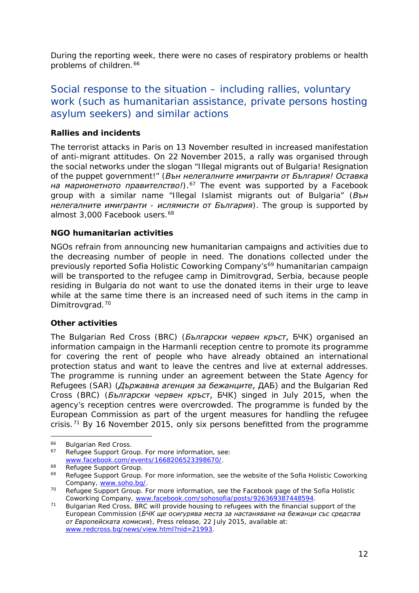<span id="page-11-2"></span>During the reporting week, there were no cases of respiratory problems or health problems of children.<sup>[66](#page-11-0)</sup>

## Social response to the situation – including rallies, voluntary work (such as humanitarian assistance, private persons hosting asylum seekers) and similar actions

#### **Rallies and incidents**

The terrorist attacks in Paris on 13 November resulted in increased manifestation of anti-migrant attitudes. On 22 November 2015, a rally was organised through the social networks under the slogan "Illegal migrants out of Bulgaria! Resignation of the puppet government!" (*Вън нелегалните имигранти от България! Оставка на марионетното правителство!*).<sup>[67](#page-11-1)</sup> The event was supported by a Facebook group with a similar name "Illegal Islamist migrants out of Bulgaria" (*Вън нелегалните имигранти - ислямисти от България*). The group is supported by almost 3,000 Facebook users.<sup>[68](#page-11-2)</sup>

#### **NGO humanitarian activities**

NGOs refrain from announcing new humanitarian campaigns and activities due to the decreasing number of people in need. The donations collected under the previously reported Sofia Holistic Coworking Company's<sup>[69](#page-11-3)</sup> humanitarian campaign will be transported to the refugee camp in Dimitrovgrad, Serbia, because people residing in Bulgaria do not want to use the donated items in their urge to leave while at the same time there is an increased need of such items in the camp in Dimitrovarad.<sup>[70](#page-11-2)</sup>

#### **Other activities**

The Bulgarian Red Cross (BRC) (*Български червен кръст*, БЧК) organised an information campaign in the Harmanli reception centre to promote its programme for covering the rent of people who have already obtained an international protection status and want to leave the centres and live at external addresses. The programme is running under an agreement between the State Agency for Refugees (SAR) (*Държавна агенция за бежанците*, ДАБ) and the Bulgarian Red Cross (BRC) (*Български червен кръст*, БЧК) singed in July 2015, when the agency's reception centres were overcrowded. The programme is funded by the European Commission as part of the urgent measures for handling the refugee crisis.<sup>[71](#page-11-4)</sup> By 16 November 2015, only six persons benefitted from the programme

<span id="page-11-0"></span><sup>&</sup>lt;sup>66</sup> Bulgarian Red Cross.<br><sup>67</sup> Pefugee Support Cro 66

<span id="page-11-1"></span>Refugee Support Group. For more information, see: [www.facebook.com/events/1668206523398670/.](http://www.facebook.com/events/1668206523398670/)

<span id="page-11-3"></span><sup>&</sup>lt;sup>68</sup> Refugee Support Group.<br><sup>69</sup> Refugee Support Group. For more information, see the website of the Sofia Holistic Coworking Company, [www.soho.bg/.](http://www.soho.bg/)

<sup>70</sup> Refugee Support Group. For more information, see the Facebook page of the Sofia Holistic Coworking Company, [www.facebook.com/sohosofia/posts/926369387448594.](http://www.facebook.com/sohosofia/posts/926369387448594)

<span id="page-11-4"></span><sup>71</sup> Bulgarian Red Cross, BRC will provide housing to refugees with the financial support of the European Commission (*БЧК ще осигурява места за настаняване на бежанци със средства от Европейската комисия*), Press release, 22 July 2015, available at: [www.redcross.bg/news/view.html?nid=21993.](http://www.redcross.bg/news/view.html?nid=21993)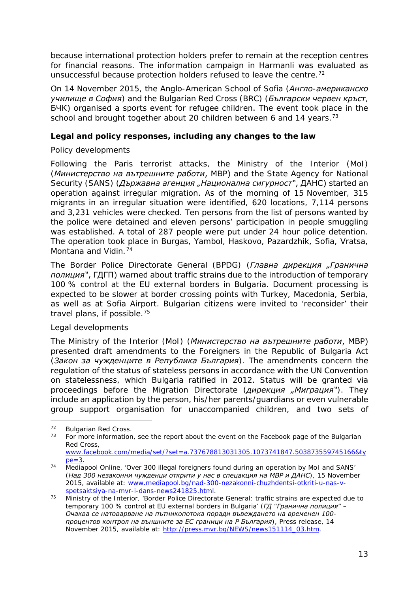because international protection holders prefer to remain at the reception centres for financial reasons. The information campaign in Harmanli was evaluated as unsuccessful because protection holders refused to leave the centre.<sup>[72](#page-12-0)</sup>

On 14 November 2015, the Anglo-American School of Sofia (*Англо-американско училище в София*) and the Bulgarian Red Cross (BRC) (*Български червен кръст*, БЧК) organised a sports event for refugee children. The event took place in the school and brought together about 20 children between 6 and 14 years.<sup>[73](#page-12-1)</sup>

#### **Legal and policy responses, including any changes to the law**

#### *Policy developments*

Following the Paris terrorist attacks, the Ministry of the Interior (MoI) (*Министерство на вътрешните работи*, МВР) and the State Agency for National Security (SANS) (Държавна агенция "Национална сигурност", ДАНС) started an operation against irregular migration. As of the morning of 15 November, 315 migrants in an irregular situation were identified, 620 locations, 7,114 persons and 3,231 vehicles were checked. Ten persons from the list of persons wanted by the police were detained and eleven persons' participation in people smuggling was established. A total of 287 people were put under 24 hour police detention. The operation took place in Burgas, Yambol, Haskovo, Pazardzhik, Sofia, Vratsa, Montana and Vidin.<sup>[74](#page-12-2)</sup>

The Border Police Directorate General (BPDG) (*Главна дирекция "Гранична полиция"*, ГДГП) warned about traffic strains due to the introduction of temporary 100 % control at the EU external borders in Bulgaria. Document processing is expected to be slower at border crossing points with Turkey, Macedonia, Serbia, as well as at Sofia Airport. Bulgarian citizens were invited to 'reconsider' their travel plans, if possible.[75](#page-12-3)

#### *Legal developments*

The Ministry of the Interior (MoI) (*Министерство на вътрешните работи*, МВР) presented draft amendments to the Foreigners in the Republic of Bulgaria Act (*Закон за чужденците в Република България*). The amendments concern the regulation of the status of stateless persons in accordance with the UN Convention on statelessness, which Bulgaria ratified in 2012. Status will be granted via proceedings before the Migration Directorate (*дирекция "Миграция"*). They include an application by the person, his/her parents/guardians or even vulnerable group support organisation for unaccompanied children, and two sets of

<span id="page-12-1"></span><span id="page-12-0"></span> $72$  Bulgarian Red Cross.<br> $73$  Eer more information  $72$ 

For more information, see the report about the event on the Facebook page of the Bulgarian Red Cross,

[www.facebook.com/media/set/?set=a.737678813031305.1073741847.503873559745166&ty](http://www.facebook.com/media/set/?set=a.737678813031305.1073741847.503873559745166&type=3)  $pe=3$ .

<span id="page-12-2"></span><sup>&</sup>lt;sup>74</sup> Mediapool Online, 'Over 300 illegal foreigners found during an operation by MoI and SANS' (*Над 300 незаконни чужденци открити у нас в спецакция на МВР и ДАНС*)*,* 15 November 2015, available at: [www.mediapool.bg/nad-300-nezakonni-chuzhdentsi-otkriti-u-nas-v](http://www.mediapool.bg/nad-300-nezakonni-chuzhdentsi-otkriti-u-nas-v-spetsaktsiya-na-mvr-i-dans-news241825.html)[spetsaktsiya-na-mvr-i-dans-news241825.html.](http://www.mediapool.bg/nad-300-nezakonni-chuzhdentsi-otkriti-u-nas-v-spetsaktsiya-na-mvr-i-dans-news241825.html)

<span id="page-12-3"></span><sup>&</sup>lt;sup>75</sup> Ministry of the Interior, 'Border Police Directorate General: traffic strains are expected due to temporary 100 % control at EU external borders in Bulgaria' (*ГД "Гранична полиция" – Очаква се натоварване на пътникопотока поради въвеждането на временен 100 процентов контрол на външните за ЕС граници на Р България*)*,* Press release, 14 November 2015, available at: [http://press.mvr.bg/NEWS/news151114\\_03.htm.](http://press.mvr.bg/NEWS/news151114_03.htm)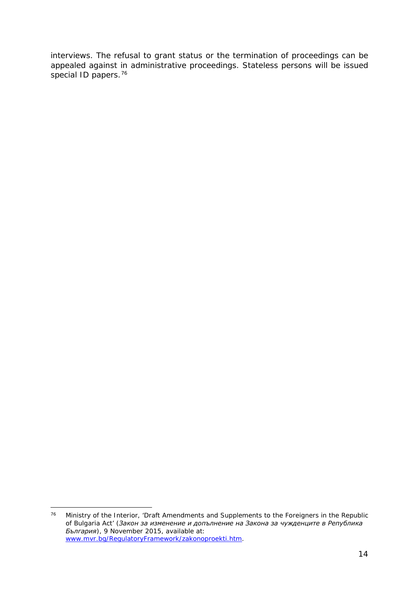interviews. The refusal to grant status or the termination of proceedings can be appealed against in administrative proceedings. Stateless persons will be issued special ID papers.<sup>[76](#page-13-0)</sup>

<span id="page-13-0"></span>Ministry of the Interior, 'Draft Amendments and Supplements to the Foreigners in the Republic of Bulgaria Act' (*Закон за изменение и допълнение на Закона за чужденците в Република България*)*,* 9 November 2015, available at: [www.mvr.bg/RegulatoryFramework/zakonoproekti.htm.](http://www.mvr.bg/RegulatoryFramework/zakonoproekti.htm) 76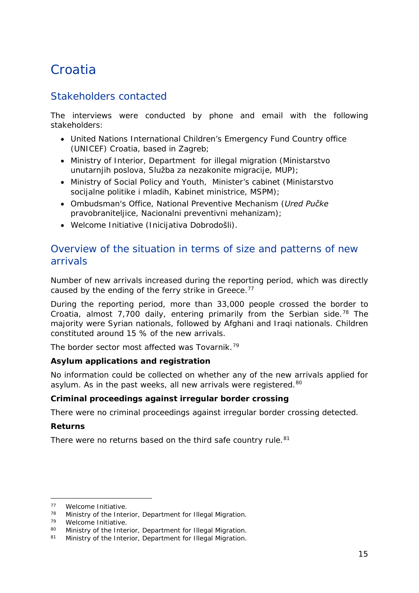## <span id="page-14-0"></span>**Croatia**

## Stakeholders contacted

The interviews were conducted by phone and email with the following stakeholders:

- United Nations International Children's Emergency Fund Country office (UNICEF) Croatia, based in Zagreb;
- Ministry of Interior, Department for illegal migration (*Ministarstvo unutarnjih poslova, Služba za nezakonite migracije*, *MUP*);
- Ministry of Social Policy and Youth, Minister's cabinet (*Ministarstvo socijalne politike i mladih, Kabinet ministrice, MSPM*);
- Ombudsman's Office, National Preventive Mechanism (*Ured Pučke pravobraniteljice, Nacionalni preventivni mehanizam*);
- Welcome Initiative (*Inicijativa Dobrodošli*).

## Overview of the situation in terms of size and patterns of new arrivals

Number of new arrivals increased during the reporting period, which was directly caused by the ending of the ferry strike in Greece.<sup>[77](#page-14-1)</sup>

During the reporting period, more than 33,000 people crossed the border to Croatia, almost  $7,700$  daily, entering primarily from the Serbian side.<sup>[78](#page-14-2)</sup> The majority were Syrian nationals, followed by Afghani and Iraqi nationals. Children constituted around 15 % of the new arrivals.

The border sector most affected was Tovarnik.<sup>[79](#page-14-3)</sup>

#### **Asylum applications and registration**

No information could be collected on whether any of the new arrivals applied for asylum. As in the past weeks, all new arrivals were registered.<sup>[80](#page-14-4)</sup>

#### **Criminal proceedings against irregular border crossing**

There were no criminal proceedings against irregular border crossing detected.

#### **Returns**

-

There were no returns based on the third safe country rule.<sup>[81](#page-14-5)</sup>

<span id="page-14-1"></span> $77$  Welcome Initiative.<br> $78$  Ministry of the Inter

<span id="page-14-2"></span><sup>&</sup>lt;sup>78</sup> Ministry of the Interior, Department for Illegal Migration.<br><sup>79</sup> Welcome Initiative.<br><sup>80</sup> Ministry of the Interior, Department for Illegal Migration.

<span id="page-14-5"></span><span id="page-14-4"></span><span id="page-14-3"></span><sup>80</sup> Ministry of the Interior, Department for Illegal Migration.<br>81 Ministry of the Interior, Department for Illegal Migration.

Ministry of the Interior, Department for Illegal Migration.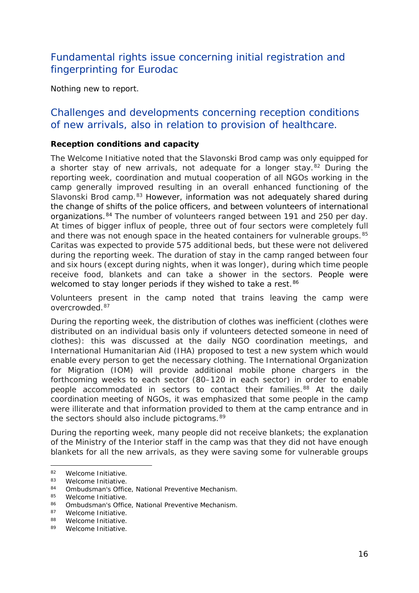## <span id="page-15-1"></span>Fundamental rights issue concerning initial registration and fingerprinting for Eurodac

Nothing new to report.

### Challenges and developments concerning reception conditions of new arrivals, also in relation to provision of healthcare.

#### **Reception conditions and capacity**

The Welcome Initiative noted that the Slavonski Brod camp was only equipped for a shorter stay of new arrivals, not adequate for a longer stay.[82](#page-15-0) During the reporting week, coordination and mutual cooperation of all NGOs working in the camp generally improved resulting in an overall enhanced functioning of the Slavonski Brod camp.<sup>[83](#page-15-1)</sup> However, information was not adequately shared during the change of shifts of the police officers, and between volunteers of international organizations.<sup>[84](#page-15-1)</sup> The number of volunteers ranged between 191 and 250 per day. At times of bigger influx of people, three out of four sectors were completely full and there was not enough space in the heated containers for vulnerable groups.<sup>[85](#page-15-1)</sup> Caritas was expected to provide 575 additional beds, but these were not delivered during the reporting week. The duration of stay in the camp ranged between four and six hours (except during nights, when it was longer), during which time people receive food, blankets and can take a shower in the sectors. People were welcomed to stay longer periods if they wished to take a rest.<sup>[86](#page-15-1)</sup>

Volunteers present in the camp noted that trains leaving the camp were overcrowded.[87](#page-15-2)

During the reporting week, the distribution of clothes was inefficient (clothes were distributed on an individual basis only if volunteers detected someone in need of clothes): this was discussed at the daily NGO coordination meetings, and International Humanitarian Aid (IHA) proposed to test a new system which would enable every person to get the necessary clothing. The International Organization for Migration (IOM) will provide additional mobile phone chargers in the forthcoming weeks to each sector (80–120 in each sector) in order to enable people accommodated in sectors to contact their families.<sup>[88](#page-15-3)</sup> At the daily coordination meeting of NGOs, it was emphasized that some people in the camp were illiterate and that information provided to them at the camp entrance and in the sectors should also include pictograms.<sup>[89](#page-15-1)</sup>

During the reporting week, many people did not receive blankets; the explanation of the Ministry of the Interior staff in the camp was that they did not have enough blankets for all the new arrivals, as they were saving some for vulnerable groups

j.

<span id="page-15-0"></span> $82$  Welcome Initiative.<br> $83$  Welcome Initiative

 $^{83}$  Welcome Initiative.<br> $^{84}$  Ombudsman's Office

<sup>84</sup> Ombudsman's Office, National Preventive Mechanism.<br>85 Melcome Initiative

 $^{85}$  Welcome Initiative.<br> $^{86}$  Ombudsman's Office

<sup>86</sup> Ombudsman's Office, National Preventive Mechanism.<br>87 Melcome Initiative

Welcome Initiative.

<span id="page-15-3"></span><span id="page-15-2"></span><sup>88</sup> Welcome Initiative.

<sup>89</sup> Welcome Initiative.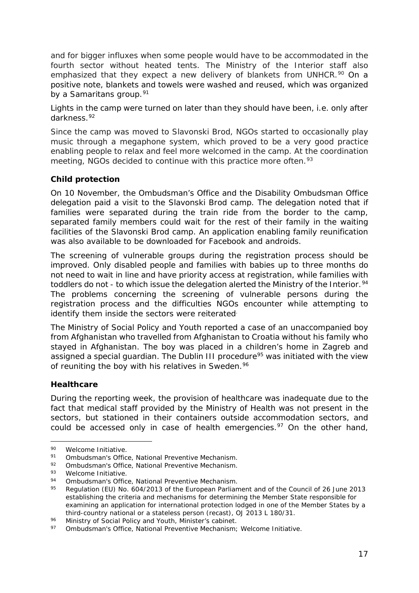<span id="page-16-6"></span>and for bigger influxes when some people would have to be accommodated in the fourth sector without heated tents. The Ministry of the Interior staff also emphasized that they expect a new delivery of blankets from UNHCR.<sup>[90](#page-16-0)</sup> On a positive note, blankets and towels were washed and reused, which was organized by a Samaritans group.<sup>[91](#page-16-1)</sup>

Lights in the camp were turned on later than they should have been, i.e. only after darkness.[92](#page-16-2)

Since the camp was moved to Slavonski Brod, NGOs started to occasionally play music through a megaphone system, which proved to be a very good practice enabling people to relax and feel more welcomed in the camp. At the coordination meeting, NGOs decided to continue with this practice more often.<sup>[93](#page-16-3)</sup>

#### **Child protection**

On 10 November, the Ombudsman's Office and the Disability Ombudsman Office delegation paid a visit to the Slavonski Brod camp. The delegation noted that if families were separated during the train ride from the border to the camp, separated family members could wait for the rest of their family in the waiting facilities of the Slavonski Brod camp. An application enabling family reunification was also available to be downloaded for Facebook and androids.

The screening of vulnerable groups during the registration process should be improved. Only disabled people and families with babies up to three months do not need to wait in line and have priority access at registration, while families with toddlers do not - to which issue the delegation alerted the Ministry of the Interior.<sup>[94](#page-16-4)</sup> The problems concerning the screening of vulnerable persons during the registration process and the difficulties NGOs encounter while attempting to identify them inside the sectors were reiterated.

The Ministry of Social Policy and Youth reported a case of an unaccompanied boy from Afghanistan who travelled from Afghanistan to Croatia without his family who stayed in Afghanistan. The boy was placed in a children's home in Zagreb and assigned a special guardian. The Dublin III procedure<sup>[95](#page-16-5)</sup> was initiated with the view of reuniting the boy with his relatives in Sweden.<sup>[96](#page-16-6)</sup>

#### **Healthcare**

During the reporting week, the provision of healthcare was inadequate due to the fact that medical staff provided by the Ministry of Health was not present in the sectors, but stationed in their containers outside accommodation sectors, and could be accessed only in case of health emergencies. $97$  On the other hand,

<sup>90</sup> Welcome Initiative. -

<span id="page-16-1"></span><span id="page-16-0"></span><sup>91</sup> Ombudsman's Office, National Preventive Mechanism.

<span id="page-16-2"></span><sup>92</sup> Ombudsman's Office, National Preventive Mechanism.<br>93 Melcomo Initiative

<span id="page-16-3"></span> $^{93}$  Welcome Initiative.

<span id="page-16-4"></span><sup>94</sup> Ombudsman's Office, National Preventive Mechanism.<br>95 Begulation (EU) No. 604/2013 of the European Parlian

<span id="page-16-5"></span>Regulation (EU) No. 604/2013 of the European Parliament and of the Council of 26 June 2013 establishing the criteria and mechanisms for determining the Member State responsible for examining an application for international protection lodged in one of the Member States by a third-country national or a stateless person (recast), OJ 2013 L 180/31.

<sup>96</sup> Ministry of Social Policy and Youth, Minister's cabinet.

<span id="page-16-7"></span><sup>97</sup> Ombudsman's Office, National Preventive Mechanism; Welcome Initiative.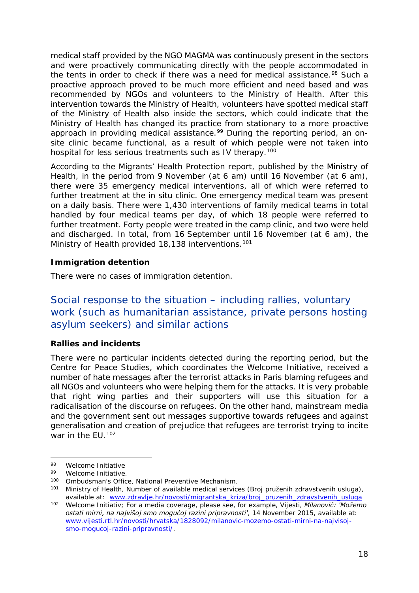medical staff provided by the NGO MAGMA was continuously present in the sectors and were proactively communicating directly with the people accommodated in the tents in order to check if there was a need for medical assistance.<sup>[98](#page-17-0)</sup> Such a proactive approach proved to be much more efficient and need based and was recommended by NGOs and volunteers to the Ministry of Health. After this intervention towards the Ministry of Health, volunteers have spotted medical staff of the Ministry of Health also inside the sectors, which could indicate that the Ministry of Health has changed its practice from stationary to a more proactive approach in providing medical assistance.<sup>[99](#page-17-1)</sup> During the reporting period, an onsite clinic became functional, as a result of which people were not taken into hospital for less serious treatments such as IV therapy.<sup>100</sup>

According to the Migrants' Health Protection report, published by the Ministry of Health, in the period from 9 November (at 6 am) until 16 November (at 6 am), there were 35 emergency medical interventions, all of which were referred to further treatment at the *in situ* clinic. One emergency medical team was present on a daily basis. There were 1,430 interventions of family medical teams in total handled by four medical teams per day, of which 18 people were referred to further treatment. Forty people were treated in the camp clinic, and two were held and discharged. In total, from 16 September until 16 November (at 6 am), the Ministry of Health provided 18,138 interventions.<sup>[101](#page-17-3)</sup>

#### **Immigration detention**

There were no cases of immigration detention.

## Social response to the situation – including rallies, voluntary work (such as humanitarian assistance, private persons hosting asylum seekers) and similar actions

#### **Rallies and incidents**

There were no particular incidents detected during the reporting period, but the Centre for Peace Studies, which coordinates the Welcome Initiative, received a number of hate messages after the terrorist attacks in Paris blaming refugees and all NGOs and volunteers who were helping them for the attacks. It is very probable that right wing parties and their supporters will use this situation for a radicalisation of the discourse on refugees. On the other hand, mainstream media and the government sent out messages supportive towards refugees and against generalisation and creation of prejudice that refugees are terrorist trying to incite war in the FU.<sup>[102](#page-17-4)</sup>

j.

<span id="page-17-0"></span><sup>98</sup> Welcome Initiative

Welcome Initiative

<span id="page-17-2"></span><span id="page-17-1"></span><sup>100</sup> Ombudsman's Office, National Preventive Mechanism.

<span id="page-17-3"></span><sup>101</sup> Ministry of Health, Number of available medical services (*Broj pruženih zdravstvenih usluga)*, available at: [www.zdravlje.hr/novosti/migrantska\\_kriza/broj\\_pruzenih\\_zdravstvenih\\_usluga](http://www.zdravlje.hr/novosti/migrantska_kriza/broj_pruzenih_zdravstvenih_usluga)

<span id="page-17-4"></span><sup>102</sup> Welcome Initiativ; For a media coverage, please see, for example, Vijesti, *Milanović: 'Možemo ostati mirni, na najvišoj smo mogućoj razini pripravnosti'*, 14 November 2015, available at: [www.vijesti.rtl.hr/novosti/hrvatska/1828092/milanovic-mozemo-ostati-mirni-na-najvisoj](http://www.vijesti.rtl.hr/novosti/hrvatska/1828092/milanovic-mozemo-ostati-mirni-na-najvisoj-smo-mogucoj-razini-pripravnosti/)[smo-mogucoj-razini-pripravnosti/.](http://www.vijesti.rtl.hr/novosti/hrvatska/1828092/milanovic-mozemo-ostati-mirni-na-najvisoj-smo-mogucoj-razini-pripravnosti/)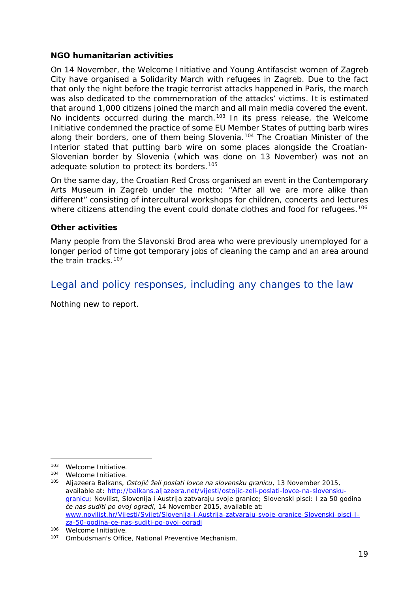#### <span id="page-18-1"></span>**NGO humanitarian activities**

On 14 November, the Welcome Initiative and Young Antifascist women of Zagreb City have organised a Solidarity March with refugees in Zagreb. Due to the fact that only the night before the tragic terrorist attacks happened in Paris, the march was also dedicated to the commemoration of the attacks' victims. It is estimated that around 1,000 citizens joined the march and all main media covered the event. No incidents occurred during the march.<sup>[103](#page-18-0)</sup> In its press release, the Welcome Initiative condemned the practice of some EU Member States of putting barb wires along their borders, one of them being Slovenia.<sup>[104](#page-18-1)</sup> The Croatian Minister of the Interior stated that putting barb wire on some places alongside the Croatian-Slovenian border by Slovenia (which was done on 13 November) was not an adequate solution to protect its borders.[105](#page-18-1)

On the same day, the Croatian Red Cross organised an event in the Contemporary Arts Museum in Zagreb under the motto: "After all we are more alike than different" consisting of intercultural workshops for children, concerts and lectures where citizens attending the event could donate clothes and food for refugees.<sup>[106](#page-18-2)</sup>

#### **Other activities**

Many people from the Slavonski Brod area who were previously unemployed for a longer period of time got temporary jobs of cleaning the camp and an area around the train tracks.[107](#page-18-3)

### Legal and policy responses, including any changes to the law

Nothing new to report.

-

<span id="page-18-0"></span><sup>103</sup> Welcome Initiative.

<sup>104</sup> Welcome Initiative.

<sup>105</sup> Aljazeera Balkans, *Ostojić želi poslati lovce na slovensku granicu*, 13 November 2015, available at: [http://balkans.aljazeera.net/vijesti/ostojic-zeli-poslati-lovce-na-slovensku](http://balkans.aljazeera.net/vijesti/ostojic-zeli-poslati-lovce-na-slovensku-granicu)[granicu;](http://balkans.aljazeera.net/vijesti/ostojic-zeli-poslati-lovce-na-slovensku-granicu) Novilist, *Slovenija i Austrija zatvaraju svoje granice; Slovenski pisci: I za 50 godina će nas suditi po ovoj ogradi*, 14 November 2015, available at: [www.novilist.hr/Vijesti/Svijet/Slovenija-i-Austrija-zatvaraju-svoje-granice-Slovenski-pisci-I](http://www.novilist.hr/Vijesti/Svijet/Slovenija-i-Austrija-zatvaraju-svoje-granice-Slovenski-pisci-I-za-50-godina-ce-nas-suditi-po-ovoj-ogradi)[za-50-godina-ce-nas-suditi-po-ovoj-ogradi](http://www.novilist.hr/Vijesti/Svijet/Slovenija-i-Austrija-zatvaraju-svoje-granice-Slovenski-pisci-I-za-50-godina-ce-nas-suditi-po-ovoj-ogradi)

<span id="page-18-2"></span><sup>106</sup> Welcome Initiative.

<span id="page-18-3"></span><sup>107</sup> Ombudsman's Office, National Preventive Mechanism.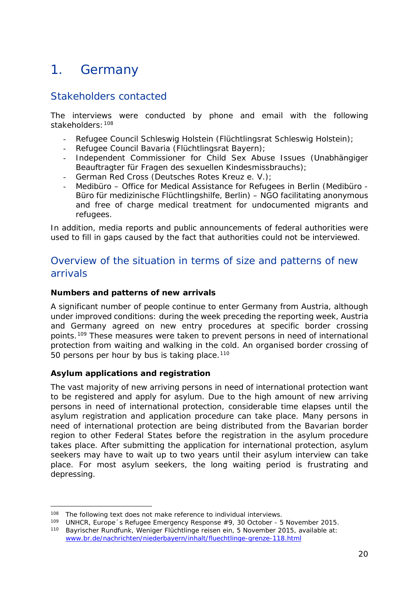## <span id="page-19-0"></span>1. Germany

## Stakeholders contacted

The interviews were conducted by phone and email with the following stakeholders:  $108$ 

- Refugee Council Schleswig Holstein (*Flüchtlingsrat Schleswig Holstein*);
- Refugee Council Bavaria (*Flüchtlingsrat Bayern*);
- Independent Commissioner for Child Sex Abuse Issues (*Unabhängiger Beauftragter für Fragen des sexuellen Kindesmissbrauchs*);
- German Red Cross (*Deutsches Rotes Kreuz e. V*.);
- Medibüro Office for Medical Assistance for Refugees in Berlin (*Medibüro - Büro für medizinische Flüchtlingshilfe, Berlin*) – NGO facilitating anonymous and free of charge medical treatment for undocumented migrants and refugees.

In addition, media reports and public announcements of federal authorities were used to fill in gaps caused by the fact that authorities could not be interviewed.

## Overview of the situation in terms of size and patterns of new arrivals

#### **Numbers and patterns of new arrivals**

A significant number of people continue to enter Germany from Austria, although under improved conditions: during the week preceding the reporting week, Austria and Germany agreed on new entry procedures at specific border crossing points.[109](#page-19-2) These measures were taken to prevent persons in need of international protection from waiting and walking in the cold. An organised border crossing of 50 persons per hour by bus is taking place.<sup>[110](#page-19-3)</sup>

#### **Asylum applications and registration**

The vast majority of new arriving persons in need of international protection want to be registered and apply for asylum. Due to the high amount of new arriving persons in need of international protection, considerable time elapses until the asylum registration and application procedure can take place. Many persons in need of international protection are being distributed from the Bavarian border region to other Federal States before the registration in the asylum procedure takes place. After submitting the application for international protection, asylum seekers may have to wait up to two years until their asylum interview can take place. For most asylum seekers, the long waiting period is frustrating and depressing.

<sup>&</sup>lt;sup>108</sup> The following text does not make reference to individual interviews. -

<span id="page-19-3"></span><span id="page-19-2"></span><span id="page-19-1"></span><sup>109</sup> UNHCR, *Europe´s Refugee Emergency Response* #9, 30 October - 5 November 2015. <sup>110</sup> Bayrischer Rundfunk, *Weniger Flüchtlinge reisen ein,* 5 November 2015, available at:

[www.br.de/nachrichten/niederbayern/inhalt/fluechtlinge-grenze-118.html](http://www.br.de/nachrichten/niederbayern/inhalt/fluechtlinge-grenze-118.html)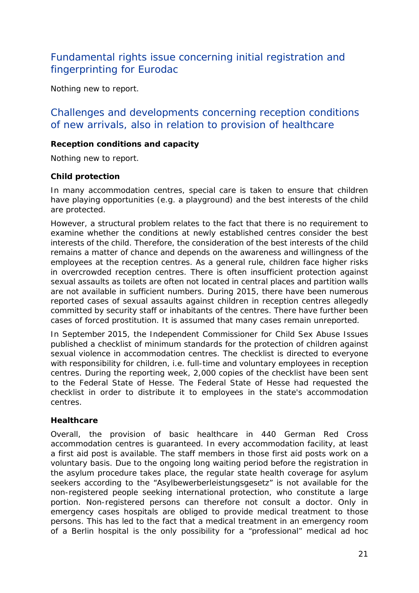## Fundamental rights issue concerning initial registration and fingerprinting for Eurodac

Nothing new to report.

### Challenges and developments concerning reception conditions of new arrivals, also in relation to provision of healthcare

#### **Reception conditions and capacity**

Nothing new to report.

#### **Child protection**

In many accommodation centres, special care is taken to ensure that children have playing opportunities (e.g. a playground) and the best interests of the child are protected.

However, a structural problem relates to the fact that there is no requirement to examine whether the conditions at newly established centres consider the best interests of the child. Therefore, the consideration of the best interests of the child remains a matter of chance and depends on the awareness and willingness of the employees at the reception centres. As a general rule, children face higher risks in overcrowded reception centres. There is often insufficient protection against sexual assaults as toilets are often not located in central places and partition walls are not available in sufficient numbers. During 2015, there have been numerous reported cases of sexual assaults against children in reception centres allegedly committed by security staff or inhabitants of the centres. There have further been cases of forced prostitution. It is assumed that many cases remain unreported.

In September 2015, the Independent Commissioner for Child Sex Abuse Issues published a checklist of minimum standards for the protection of children against sexual violence in accommodation centres. The checklist is directed to everyone with responsibility for children, i.e. full-time and voluntary employees in reception centres. During the reporting week, 2,000 copies of the checklist have been sent to the Federal State of Hesse. The Federal State of Hesse had requested the checklist in order to distribute it to employees in the state's accommodation centres.

#### **Healthcare**

Overall, the provision of basic healthcare in 440 German Red Cross accommodation centres is guaranteed. In every accommodation facility, at least a first aid post is available. The staff members in those first aid posts work on a voluntary basis. Due to the ongoing long waiting period before the registration in the asylum procedure takes place, the regular state health coverage for asylum seekers according to the "*Asylbewerberleistungsgesetz*" is not available for the non-registered people seeking international protection, who constitute a large portion. Non-registered persons can therefore not consult a doctor. Only in emergency cases hospitals are obliged to provide medical treatment to those persons. This has led to the fact that a medical treatment in an emergency room of a Berlin hospital is the only possibility for a "professional" medical ad hoc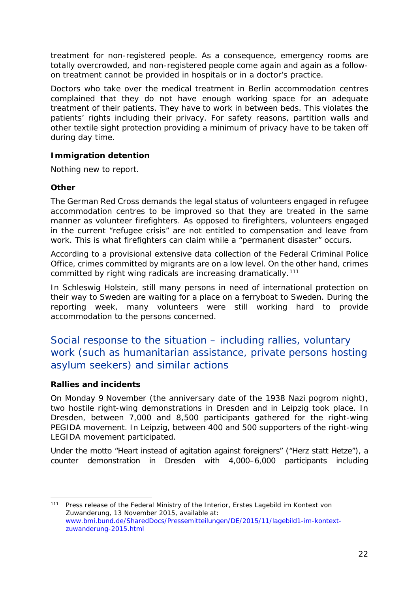treatment for non-registered people. As a consequence, emergency rooms are totally overcrowded, and non-registered people come again and again as a followon treatment cannot be provided in hospitals or in a doctor's practice.

Doctors who take over the medical treatment in Berlin accommodation centres complained that they do not have enough working space for an adequate treatment of their patients. They have to work in between beds. This violates the patients' rights including their privacy. For safety reasons, partition walls and other textile sight protection providing a minimum of privacy have to be taken off during day time.

#### **Immigration detention**

Nothing new to report.

#### **Other**

The German Red Cross demands the legal status of volunteers engaged in refugee accommodation centres to be improved so that they are treated in the same manner as volunteer firefighters. As opposed to firefighters, volunteers engaged in the current "refugee crisis" are not entitled to compensation and leave from work. This is what firefighters can claim while a "permanent disaster" occurs.

According to a provisional extensive data collection of the Federal Criminal Police Office, crimes committed by migrants are on a low level. On the other hand, crimes committed by right wing radicals are increasing dramatically.<sup>[111](#page-21-0)</sup>

In Schleswig Holstein, still many persons in need of international protection on their way to Sweden are waiting for a place on a ferryboat to Sweden. During the reporting week, many volunteers were still working hard to provide accommodation to the persons concerned.

## Social response to the situation – including rallies, voluntary work (such as humanitarian assistance, private persons hosting asylum seekers) and similar actions

#### **Rallies and incidents**

On Monday 9 November (the anniversary date of the 1938 Nazi pogrom night), two hostile right-wing demonstrations in Dresden and in Leipzig took place. In Dresden, between 7,000 and 8,500 participants gathered for the right-wing PEGIDA movement. In Leipzig, between 400 and 500 supporters of the right-wing LEGIDA movement participated.

Under the motto "Heart instead of agitation against foreigners" ("*Herz statt Hetze*"), a counter demonstration in Dresden with 4,000–6,000 participants including

<span id="page-21-0"></span><sup>111</sup> Press release of the Federal Ministry of the Interior, *Erstes Lagebild im Kontext von Zuwanderung,* 13 November 2015, available at: [www.bmi.bund.de/SharedDocs/Pressemitteilungen/DE/2015/11/lagebild1-im-kontext](http://www.bmi.bund.de/SharedDocs/Pressemitteilungen/DE/2015/11/lagebild1-im-kontext-zuwanderung-2015.html)[zuwanderung-2015.html](http://www.bmi.bund.de/SharedDocs/Pressemitteilungen/DE/2015/11/lagebild1-im-kontext-zuwanderung-2015.html) j.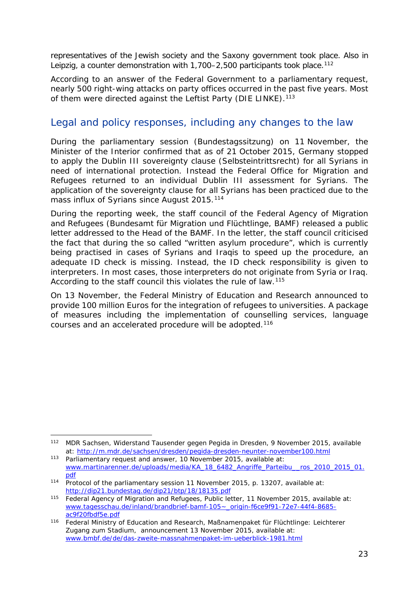representatives of the Jewish society and the Saxony government took place. Also in Leipzig, a counter demonstration with 1,700-2,500 participants took place.<sup>[112](#page-22-0)</sup>

According to an answer of the Federal Government to a parliamentary request, nearly 500 right-wing attacks on party offices occurred in the past five years. Most of them were directed against the Leftist Party (*DIE LINKE*).[113](#page-22-1)

### Legal and policy responses, including any changes to the law

During the parliamentary session (*Bundestagssitzung*) on 11 November, the Minister of the Interior confirmed that as of 21 October 2015, Germany stopped to apply the Dublin III sovereignty clause (*Selbsteintrittsrecht*) for all Syrians in need of international protection. Instead the Federal Office for Migration and Refugees returned to an individual Dublin III assessment for Syrians. The application of the sovereignty clause for all Syrians has been practiced due to the mass influx of Syrians since August 2015.<sup>[114](#page-22-2)</sup>

During the reporting week, the staff council of the Federal Agency of Migration and Refugees (*Bundesamt für Migration und Flüchtlinge,* BAMF) released a public letter addressed to the Head of the BAMF. In the letter, the staff council criticised the fact that during the so called "written asylum procedure", which is currently being practised in cases of Syrians and Iraqis to speed up the procedure, an adequate ID check is missing. Instead, the ID check responsibility is given to interpreters. In most cases, those interpreters do not originate from Syria or Iraq. According to the staff council this violates the rule of law.<sup>[115](#page-22-3)</sup>

On 13 November, the Federal Ministry of Education and Research announced to provide 100 million Euros for the integration of refugees to universities. A package of measures including the implementation of counselling services, language courses and an accelerated procedure will be adopted.[116](#page-22-4)

<span id="page-22-0"></span><sup>112</sup> MDR Sachsen, *Widerstand Tausender gegen Pegida in Dresden,* 9 November 2015, available at:<http://m.mdr.de/sachsen/dresden/pegida-dresden-neunter-november100.html> -

<span id="page-22-1"></span><sup>113</sup> Parliamentary request and answer, 10 November 2015, available at: [www.martinarenner.de/uploads/media/KA\\_18\\_6482\\_Angriffe\\_Parteibu\\_\\_ros\\_2010\\_2015\\_01.](http://www.martinarenner.de/uploads/media/KA_18_6482_Angriffe_Parteibu__ros_2010_2015_01.pdf) [pdf](http://www.martinarenner.de/uploads/media/KA_18_6482_Angriffe_Parteibu__ros_2010_2015_01.pdf)

<span id="page-22-2"></span><sup>114</sup> Protocol of the parliamentary session 11 November 2015, p. 13207, available at: <http://dip21.bundestag.de/dip21/btp/18/18135.pdf>

<span id="page-22-3"></span><sup>115</sup> Federal Agency of Migration and Refugees, Public letter, 11 November 2015, available at: [www.tagesschau.de/inland/brandbrief-bamf-105~\\_origin-f6ce9f91-72e7-44f4-8685](http://www.tagesschau.de/inland/brandbrief-bamf-105%7E_origin-f6ce9f91-72e7-44f4-8685-ac9f20fbdf5e.pdf) [ac9f20fbdf5e.pdf](http://www.tagesschau.de/inland/brandbrief-bamf-105%7E_origin-f6ce9f91-72e7-44f4-8685-ac9f20fbdf5e.pdf)

<span id="page-22-4"></span><sup>116</sup> Federal Ministry of Education and Research, *Maßnamenpaket für Flüchtlinge: Leichterer Zugang zum Stadium*, announcement 13 November 2015, available at: [www.bmbf.de/de/das-zweite-massnahmenpaket-im-ueberblick-1981.html](http://www.bmbf.de/de/das-zweite-massnahmenpaket-im-ueberblick-1981.html)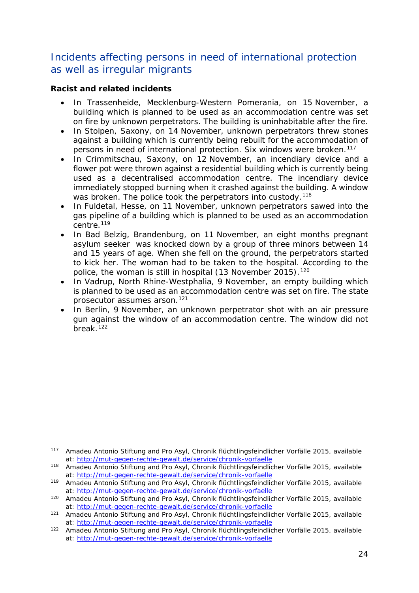## Incidents affecting persons in need of international protection as well as irregular migrants

#### **Racist and related incidents**

- In Trassenheide, Mecklenburg-Western Pomerania, on 15 November, a building which is planned to be used as an accommodation centre was set on fire by unknown perpetrators. The building is uninhabitable after the fire.
- In Stolpen, Saxony, on 14 November, unknown perpetrators threw stones against a building which is currently being rebuilt for the accommodation of persons in need of international protection. Six windows were broken.<sup>[117](#page-23-0)</sup>
- In Crimmitschau, Saxony, on 12 November, an incendiary device and a flower pot were thrown against a residential building which is currently being used as a decentralised accommodation centre. The incendiary device immediately stopped burning when it crashed against the building. A window was broken. The police took the perpetrators into custody.<sup>[118](#page-23-1)</sup>
- In Fuldetal, Hesse, on 11 November, unknown perpetrators sawed into the gas pipeline of a building which is planned to be used as an accommodation centre.<sup>[119](#page-23-2)</sup>
- In Bad Belzig, Brandenburg, on 11 November, an eight months pregnant asylum seeker was knocked down by a group of three minors between 14 and 15 years of age. When she fell on the ground, the perpetrators started to kick her. The woman had to be taken to the hospital. According to the police, the woman is still in hospital (13 November 2015).<sup>[120](#page-23-3)</sup>
- In Vadrup, North Rhine-Westphalia, 9 November, an empty building which is planned to be used as an accommodation centre was set on fire. The state prosecutor assumes arson.[121](#page-23-4)
- In Berlin, 9 November, an unknown perpetrator shot with an air pressure gun against the window of an accommodation centre. The window did not break.<sup>[122](#page-23-5)</sup>

<span id="page-23-0"></span><sup>117</sup> Amadeu Antonio Stiftung and Pro Asyl, *Chronik flüchtlingsfeindlicher Vorfälle 2015*, available at:<http://mut-gegen-rechte-gewalt.de/service/chronik-vorfaelle> -

<span id="page-23-1"></span><sup>118</sup> Amadeu Antonio Stiftung and Pro Asyl, *Chronik flüchtlingsfeindlicher Vorfälle 2015*, available at:<http://mut-gegen-rechte-gewalt.de/service/chronik-vorfaelle>

<span id="page-23-2"></span><sup>119</sup> Amadeu Antonio Stiftung and Pro Asyl, *Chronik flüchtlingsfeindlicher Vorfälle 2015*, available at:<http://mut-gegen-rechte-gewalt.de/service/chronik-vorfaelle>

<span id="page-23-3"></span><sup>120</sup> Amadeu Antonio Stiftung and Pro Asyl, *Chronik flüchtlingsfeindlicher Vorfälle 2015*, available at:<http://mut-gegen-rechte-gewalt.de/service/chronik-vorfaelle>

<span id="page-23-4"></span><sup>121</sup> Amadeu Antonio Stiftung and Pro Asyl, *Chronik flüchtlingsfeindlicher Vorfälle 2015*, available at:<http://mut-gegen-rechte-gewalt.de/service/chronik-vorfaelle>

<span id="page-23-5"></span><sup>122</sup> Amadeu Antonio Stiftung and Pro Asyl, *Chronik flüchtlingsfeindlicher Vorfälle 2015*, available at:<http://mut-gegen-rechte-gewalt.de/service/chronik-vorfaelle>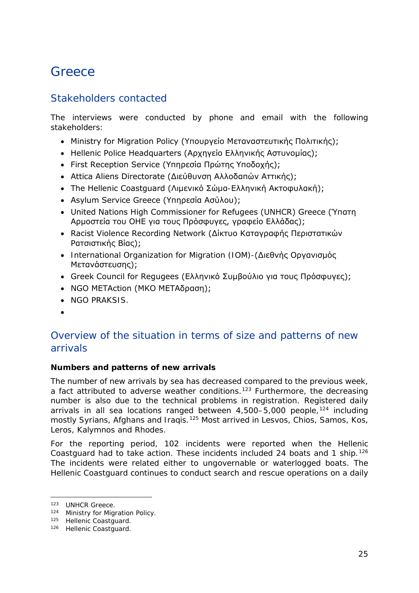## <span id="page-24-0"></span>**Greece**

## Stakeholders contacted

The interviews were conducted by phone and email with the following stakeholders:

- Ministry for Migration Policy (Υπουργείο Μεταναστευτικής Πολιτικής);
- Hellenic Police Headquarters (Αρχηγείο Ελληνικής Αστυνομίας);
- First Reception Service (Υπηρεσία Πρώτης Υποδοχής);
- Attica Aliens Directorate (Διεύθυνση Αλλοδαπών Αττικής);
- The Hellenic Coastguard (Λιμενικό Σώμα-Ελληνική Ακτοφυλακή);
- Asylum Service Greece (Υπηρεσία Ασύλου);
- United Nations High Commissioner for Refugees (UNHCR) Greece (Ύπατη Αρμοστεία του ΟΗΕ για τους Πρόσφυγες, γραφείο Ελλάδας);
- Racist Violence Recording Network (Δίκτυο Καταγραφής Περιστατικών Ρατσιστικής Βίας);
- International Organization for Migration (IOM)-(Διεθνής Οργανισμός Μετανάστευσης);
- Greek Council for Regugees (Ελληνικό Συμβούλιο για τους Πρόσφυγες);
- NGO METAction (ΜΚΟ ΜΕΤΑδραση);
- NGO PRAKSIS.
- •

## Overview of the situation in terms of size and patterns of new arrivals

#### **Numbers and patterns of new arrivals**

The number of new arrivals by sea has decreased compared to the previous week, a fact attributed to adverse weather conditions.<sup>[123](#page-24-1)</sup> Furthermore, the decreasing number is also due to the technical problems in registration. Registered daily arrivals in all sea locations ranged between  $4,500-5,000$  people,  $124$  including mostly Syrians, Afghans and Iraqis.<sup>[125](#page-24-3)</sup> Most arrived in Lesvos, Chios, Samos, Kos, Leros, Kalymnos and Rhodes.

For the reporting period, 102 incidents were reported when the Hellenic Coastguard had to take action. These incidents included 24 boats and 1 ship.<sup>[126](#page-24-4)</sup> The incidents were related either to ungovernable or waterlogged boats. The Hellenic Coastguard continues to conduct search and rescue operations on a daily

j.

<span id="page-24-1"></span><sup>123</sup> UNHCR Greece.

<span id="page-24-2"></span><sup>124</sup> Ministry for Migration Policy.

<span id="page-24-3"></span><sup>125</sup> Hellenic Coastguard.

<span id="page-24-4"></span><sup>126</sup> Hellenic Coastguard.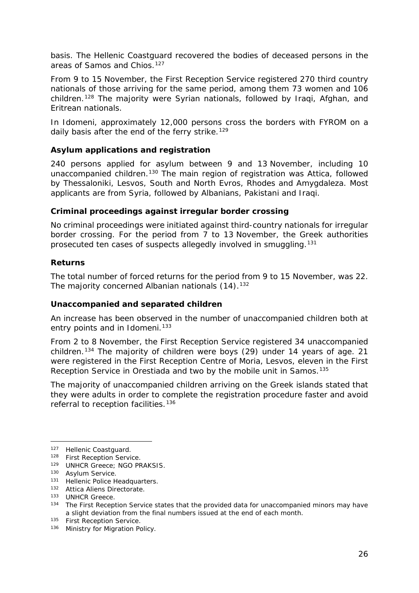<span id="page-25-8"></span>basis. The Hellenic Coastguard recovered the bodies of deceased persons in the areas of Samos and Chios.<sup>[127](#page-25-0)</sup>

From 9 to 15 November, the First Reception Service registered 270 third country nationals of those arriving for the same period, among them 73 women and 106 children.[128](#page-25-1) The majority were Syrian nationals, followed by Iraqi, Afghan, and Eritrean nationals.

In Idomeni, approximately 12,000 persons cross the borders with FYROM on a daily basis after the end of the ferry strike.<sup>[129](#page-25-2)</sup>

#### **Asylum applications and registration**

240 persons applied for asylum between 9 and 13 November, including 10 unaccompanied children.<sup>130</sup> The main region of registration was Attica, followed by Thessaloniki, Lesvos, South and North Evros, Rhodes and Amygdaleza. Most applicants are from Syria, followed by Albanians, Pakistani and Iraqi.

#### **Criminal proceedings against irregular border crossing**

No criminal proceedings were initiated against third-country nationals for irregular border crossing. For the period from 7 to 13 November, the Greek authorities prosecuted ten cases of suspects allegedly involved in smuggling.[131](#page-25-4)

#### **Returns**

The total number of forced returns for the period from 9 to 15 November, was 22. The majority concerned Albanian nationals (14).<sup>[132](#page-25-5)</sup>

#### **Unaccompanied and separated children**

An increase has been observed in the number of unaccompanied children both at entry points and in Idomeni.<sup>[133](#page-25-6)</sup>

From 2 to 8 November, the First Reception Service registered 34 unaccompanied children.[134](#page-25-7) The majority of children were boys (29) under 14 years of age. 21 were registered in the First Reception Centre of Moria, Lesvos, eleven in the First Reception Service in Orestiada and two by the mobile unit in Samos.<sup>[135](#page-25-8)</sup>

The majority of unaccompanied children arriving on the Greek islands stated that they were adults in order to complete the registration procedure faster and avoid referral to reception facilities.<sup>[136](#page-25-9)</sup>

-

<span id="page-25-0"></span><sup>127</sup> Hellenic Coastguard.

<span id="page-25-1"></span><sup>128</sup> First Reception Service.

<span id="page-25-2"></span><sup>129</sup> UNHCR Greece; NGO PRAKSIS.

<span id="page-25-3"></span><sup>130</sup> Asylum Service.

<span id="page-25-4"></span><sup>131</sup> Hellenic Police Headquarters.

<span id="page-25-5"></span><sup>132</sup> Attica Aliens Directorate.

<span id="page-25-6"></span><sup>133</sup> UNHCR Greece.

<span id="page-25-7"></span><sup>&</sup>lt;sup>134</sup> The First Reception Service states that the provided data for unaccompanied minors may have a slight deviation from the final numbers issued at the end of each month.

<sup>&</sup>lt;sup>135</sup> First Reception Service.

<span id="page-25-9"></span><sup>136</sup> Ministry for Migration Policy.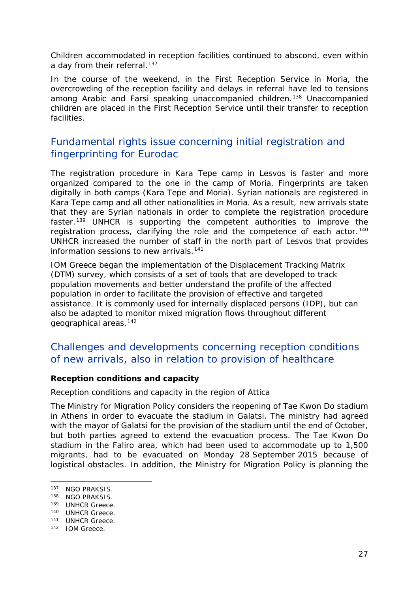<span id="page-26-3"></span>Children accommodated in reception facilities continued to abscond, even within a day from their referral.<sup>[137](#page-26-0)</sup>

In the course of the weekend, in the First Reception Service in Moria, the overcrowding of the reception facility and delays in referral have led to tensions among Arabic and Farsi speaking unaccompanied children.[138](#page-26-1) Unaccompanied children are placed in the First Reception Service until their transfer to reception facilities.

## Fundamental rights issue concerning initial registration and fingerprinting for Eurodac

The registration procedure in Kara Tepe camp in Lesvos is faster and more organized compared to the one in the camp of Moria. Fingerprints are taken digitally in both camps (Kara Tepe and Moria). Syrian nationals are registered in Kara Tepe camp and all other nationalities in Moria. As a result, new arrivals state that they are Syrian nationals in order to complete the registration procedure faster.[139](#page-26-2) UNHCR is supporting the competent authorities to improve the registration process, clarifying the role and the competence of each actor.<sup>[140](#page-26-3)</sup> UNHCR increased the number of staff in the north part of Lesvos that provides information sessions to new arrivals.<sup>[141](#page-26-3)</sup>

IOM Greece began the implementation of the Displacement Tracking Matrix (DTM) survey, which consists of a set of tools that are developed to track population movements and better understand the profile of the affected population in order to facilitate the provision of effective and targeted assistance. It is commonly used for internally displaced persons (IDP), but can also be adapted to monitor mixed migration flows throughout different geographical areas.[142](#page-26-4)

## Challenges and developments concerning reception conditions of new arrivals, also in relation to provision of healthcare

#### **Reception conditions and capacity**

#### *Reception conditions and capacity in the region of Attica*

The Ministry for Migration Policy considers the reopening of Tae Kwon Do stadium in Athens in order to evacuate the stadium in Galatsi. The ministry had agreed with the mayor of Galatsi for the provision of the stadium until the end of October, but both parties agreed to extend the evacuation process. The Tae Kwon Do stadium in the Faliro area, which had been used to accommodate up to 1,500 migrants, had to be evacuated on Monday 28 September 2015 because of logistical obstacles. In addition, the Ministry for Migration Policy is planning the

j.

<span id="page-26-0"></span><sup>137</sup> NGO PRAKSIS.

<span id="page-26-1"></span><sup>138</sup> NGO PRAKSIS.

<span id="page-26-2"></span><sup>139</sup> UNHCR Greece.

<sup>140</sup> UNHCR Greece.

<sup>141</sup> UNHCR Greece.

<span id="page-26-4"></span><sup>142</sup> IOM Greece.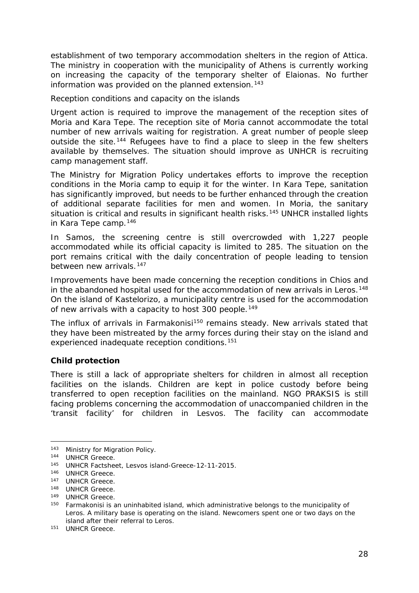<span id="page-27-3"></span>establishment of two temporary accommodation shelters in the region of Attica. The ministry in cooperation with the municipality of Athens is currently working on increasing the capacity of the temporary shelter of Elaionas. No further information was provided on the planned extension.<sup>[143](#page-27-0)</sup>

#### *Reception conditions and capacity on the islands*

Urgent action is required to improve the management of the reception sites of Moria and Kara Tepe. The reception site of Moria cannot accommodate the total number of new arrivals waiting for registration. A great number of people sleep outside the site.<sup>[144](#page-27-1)</sup> Refugees have to find a place to sleep in the few shelters available by themselves. The situation should improve as UNHCR is recruiting camp management staff.

The Ministry for Migration Policy undertakes efforts to improve the reception conditions in the Moria camp to equip it for the winter. In Kara Tepe, sanitation has significantly improved, but needs to be further enhanced through the creation of additional separate facilities for men and women. In Moria, the sanitary situation is critical and results in significant health risks.<sup>[145](#page-27-2)</sup> UNHCR installed lights in Kara Tepe camp.[146](#page-27-3)

In Samos, the screening centre is still overcrowded with 1,227 people accommodated while its official capacity is limited to 285. The situation on the port remains critical with the daily concentration of people leading to tension between new arrivals.<sup>[147](#page-27-4)</sup>

Improvements have been made concerning the reception conditions in Chios and in the abandoned hospital used for the accommodation of new arrivals in Leros.<sup>[148](#page-27-5)</sup> On the island of Kastelorizo, a municipality centre is used for the accommodation of new arrivals with a capacity to host 300 people.<sup>[149](#page-27-3)</sup>

The influx of arrivals in Farmakonisi<sup>[150](#page-27-6)</sup> remains steady. New arrivals stated that they have been mistreated by the army forces during their stay on the island and experienced inadequate reception conditions.[151](#page-27-3)

#### **Child protection**

There is still a lack of appropriate shelters for children in almost all reception facilities on the islands. Children are kept in police custody before being transferred to open reception facilities on the mainland. NGO PRAKSIS is still facing problems concerning the accommodation of unaccompanied children in the 'transit facility' for children in Lesvos. The facility can accommodate

<sup>143</sup> Ministry for Migration Policy. -

<span id="page-27-1"></span><span id="page-27-0"></span><sup>144</sup> UNHCR Greece.

<span id="page-27-2"></span><sup>145</sup> UNHCR Factsheet, Lesvos island-Greece-12-11-2015.

<sup>146</sup> UNHCR Greece.

<span id="page-27-4"></span><sup>147</sup> UNHCR Greece.

<span id="page-27-5"></span><sup>148</sup> UNHCR Greece.

<sup>149</sup> UNHCR Greece.

<span id="page-27-6"></span><sup>&</sup>lt;sup>150</sup> Farmakonisi is an uninhabited island, which administrative belongs to the municipality of Leros. A military base is operating on the island. Newcomers spent one or two days on the island after their referral to Leros.

<sup>151</sup> UNHCR Greece.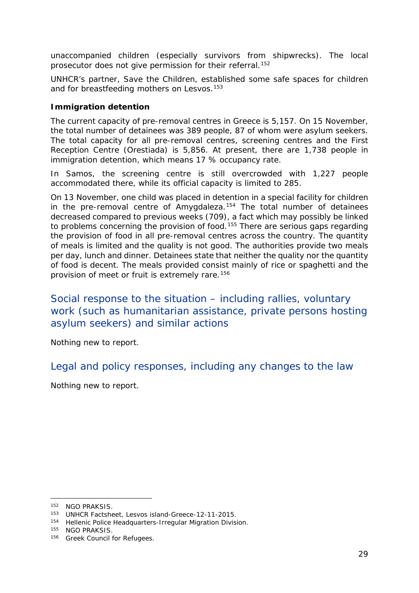<span id="page-28-3"></span>unaccompanied children (especially survivors from shipwrecks). The local prosecutor does not give permission for their referral.<sup>[152](#page-28-0)</sup>

UNHCR's partner, Save the Children, established some safe spaces for children and for breastfeeding mothers on Lesvos.<sup>[153](#page-28-1)</sup>

#### **Immigration detention**

The current capacity of pre-removal centres in Greece is 5,157. On 15 November, the total number of detainees was 389 people, 87 of whom were asylum seekers. The total capacity for all pre-removal centres, screening centres and the First Reception Centre (Orestiada) is 5,856. At present, there are 1,738 people in immigration detention, which means 17 % occupancy rate.

In Samos, the screening centre is still overcrowded with 1,227 people accommodated there, while its official capacity is limited to 285.

On 13 November, one child was placed in detention in a special facility for children in the pre-removal centre of Amygdaleza.<sup>[154](#page-28-2)</sup> The total number of detainees decreased compared to previous weeks (709), a fact which may possibly be linked to problems concerning the provision of food.<sup>[155](#page-28-3)</sup> There are serious gaps regarding the provision of food in all pre-removal centres across the country. The quantity of meals is limited and the quality is not good. The authorities provide two meals per day, lunch and dinner. Detainees state that neither the quality nor the quantity of food is decent. The meals provided consist mainly of rice or spaghetti and the provision of meet or fruit is extremely rare.[156](#page-28-3)

Social response to the situation – including rallies, voluntary work (such as humanitarian assistance, private persons hosting asylum seekers) and similar actions

Nothing new to report.

Legal and policy responses, including any changes to the law

Nothing new to report.

-

<span id="page-28-0"></span><sup>152</sup> NGO PRAKSIS.

<span id="page-28-1"></span><sup>153</sup> UNHCR Factsheet, Lesvos island-Greece-12-11-2015.

<span id="page-28-2"></span><sup>154</sup> Hellenic Police Headquarters-Irregular Migration Division.

<sup>155</sup> NGO PRAKSIS.

<sup>156</sup> Greek Council for Refugees.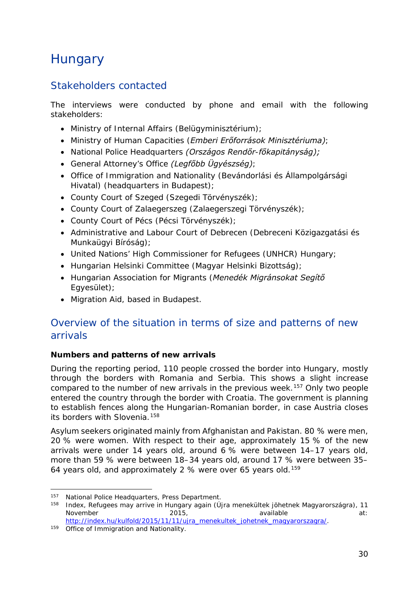## <span id="page-29-2"></span><span id="page-29-0"></span>**Hungary**

## Stakeholders contacted

The interviews were conducted by phone and email with the following stakeholders:

- Ministry of Internal Affairs (*Belügyminisztérium)*;
- Ministry of Human Capacities (*Emberi Erőforrások Minisztériuma)*;
- National Police Headquarters *(Országos Rendőr-főkapitányság);*
- General Attorney's Office *(Legfőbb Ügyészség)*;
- Office of Immigration and Nationality (*Bevándorlási és Állampolgársági Hivatal)* (headquarters in Budapest);
- County Court of Szeged (*Szegedi Törvényszék);*
- County Court of Zalaegerszeg (*Zalaegerszegi Törvényszék*);
- County Court of Pécs (*Pécsi Törvényszék);*
- Administrative and Labour Court of Debrecen (*Debreceni Közigazgatási és Munkaügyi Bíróság)*;
- United Nations' High Commissioner for Refugees (UNHCR) Hungary;
- Hungarian Helsinki Committee (*Magyar Helsinki Bizottság)*;
- Hungarian Association for Migrants (*Menedék Migránsokat Segítő Egyesület)*;
- Migration Aid, based in Budapest.

## Overview of the situation in terms of size and patterns of new arrivals

#### **Numbers and patterns of new arrivals**

During the reporting period, 110 people crossed the border into Hungary, mostly through the borders with Romania and Serbia. This shows a slight increase compared to the number of new arrivals in the previous week.[157](#page-29-1) Only two people entered the country through the border with Croatia. The government is planning to establish fences along the Hungarian-Romanian border, in case Austria closes its borders with Slovenia.<sup>[158](#page-29-2)</sup>

Asylum seekers originated mainly from Afghanistan and Pakistan. 80 % were men, 20 % were women. With respect to their age, approximately 15 % of the new arrivals were under 14 years old, around 6 % were between 14–17 years old, more than 59 % were between 18–34 years old, around 17 % were between 35– 64 years old, and approximately 2 % were over 65 years old.<sup>[159](#page-29-3)</sup>

<sup>157</sup> National Police Headquarters, Press Department. j.

<span id="page-29-1"></span><sup>158</sup> Index, Refugees may arrive in Hungary again (*Újra menekültek jöhetnek Magyarországra)*, 11 November 2015, available at: [http://index.hu/kulfold/2015/11/11/ujra\\_menekultek\\_johetnek\\_magyarorszagra/.](http://index.hu/kulfold/2015/11/11/ujra_menekultek_johetnek_magyarorszagra/) 159 Office of Immigration and Nationality.

<span id="page-29-3"></span>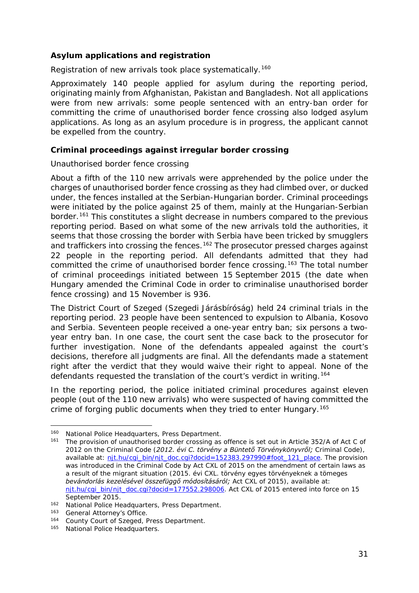#### <span id="page-30-2"></span>**Asylum applications and registration**

Registration of new arrivals took place systematically.<sup>[160](#page-30-0)</sup>

Approximately 140 people applied for asylum during the reporting period, originating mainly from Afghanistan, Pakistan and Bangladesh. Not all applications were from new arrivals: some people sentenced with an entry-ban order for committing the crime of unauthorised border fence crossing also lodged asylum applications. As long as an asylum procedure is in progress, the applicant cannot be expelled from the country.

#### **Criminal proceedings against irregular border crossing**

#### *Unauthorised border fence crossing*

About a fifth of the 110 new arrivals were apprehended by the police under the charges of unauthorised border fence crossing as they had climbed over, or ducked under, the fences installed at the Serbian-Hungarian border. Criminal proceedings were initiated by the police against 25 of them, mainly at the Hungarian-Serbian border.<sup>[161](#page-30-1)</sup> This constitutes a slight decrease in numbers compared to the previous reporting period. Based on what some of the new arrivals told the authorities, it seems that those crossing the border with Serbia have been tricked by smugglers and traffickers into crossing the fences.<sup>[162](#page-30-2)</sup> The prosecutor pressed charges against 22 people in the reporting period. All defendants admitted that they had committed the crime of unauthorised border fence crossing.[163](#page-30-2) The total number of criminal proceedings initiated between 15 September 2015 (the date when Hungary amended the Criminal Code in order to criminalise unauthorised border fence crossing) and 15 November is 936.

The District Court of Szeged (*Szegedi Járásbíróság*) held 24 criminal trials in the reporting period. 23 people have been sentenced to expulsion to Albania, Kosovo and Serbia. Seventeen people received a one-year entry ban; six persons a twoyear entry ban. In one case, the court sent the case back to the prosecutor for further investigation. None of the defendants appealed against the court's decisions, therefore all judgments are final. All the defendants made a statement right after the verdict that they would waive their right to appeal. None of the defendants requested the translation of the court's verdict in writing.<sup>[164](#page-30-3)</sup>

In the reporting period, the police initiated criminal procedures against eleven people (out of the 110 new arrivals) who were suspected of having committed the crime of forging public documents when they tried to enter Hungary.<sup>[165](#page-30-4)</sup>

<sup>160</sup> National Police Headquarters, Press Department. j.

<span id="page-30-1"></span><span id="page-30-0"></span><sup>&</sup>lt;sup>161</sup> The provision of unauthorised border crossing as offence is set out in Article 352/A of Act C of 2012 on the Criminal Code (*2012. évi C. törvény a Büntető Törvénykönyvről;* Criminal Code), available at: nit.hu/cgi\_bin/njt\_doc.cgi?docid=152383.297990#foot\_121\_place. The provision was introduced in the Criminal Code by Act CXL of 2015 on the amendment of certain laws as a result of the migrant situation (*2015. évi CXL. törvény egyes törvényeknek a tömeges bevándorlás kezelésével összefüggő módosításáról;* Act CXL of 2015), available at: [njt.hu/cgi\\_bin/njt\\_doc.cgi?docid=177552.298006.](http://njt.hu/cgi_bin/njt_doc.cgi?docid=177552.298006) Act CXL of 2015 entered into force on 15 September 2015.<br><sup>162</sup> National Police Headquarters, Press Department.

<sup>163</sup> General Attorney's Office.

<span id="page-30-3"></span><sup>164</sup> County Court of Szeged, Press Department.

<span id="page-30-4"></span><sup>165</sup> National Police Headquarters.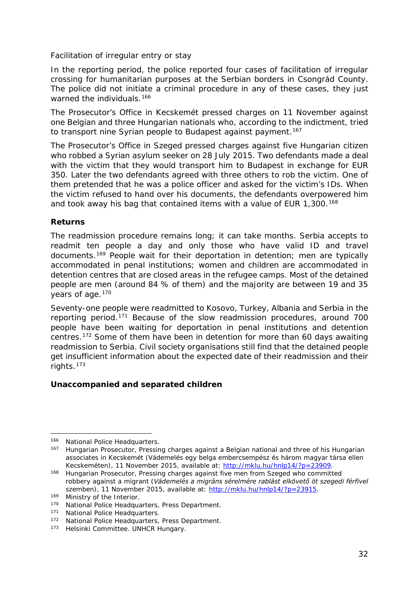#### <span id="page-31-4"></span>*Facilitation of irregular entry or stay*

In the reporting period, the police reported four cases of facilitation of irregular crossing for humanitarian purposes at the Serbian borders in Csongrád County. The police did not initiate a criminal procedure in any of these cases, they just warned the individuals.<sup>[166](#page-31-0)</sup>

The Prosecutor's Office in Kecskemét pressed charges on 11 November against one Belgian and three Hungarian nationals who, according to the indictment, tried to transport nine Syrian people to Budapest against payment.<sup>[167](#page-31-1)</sup>

The Prosecutor's Office in Szeged pressed charges against five Hungarian citizen who robbed a Syrian asylum seeker on 28 July 2015. Two defendants made a deal with the victim that they would transport him to Budapest in exchange for EUR 350. Later the two defendants agreed with three others to rob the victim. One of them pretended that he was a police officer and asked for the victim's IDs. When the victim refused to hand over his documents, the defendants overpowered him and took away his bag that contained items with a value of EUR 1,300.<sup>[168](#page-31-2)</sup>

#### **Returns**

The readmission procedure remains long; it can take months. Serbia accepts to readmit ten people a day and only those who have valid ID and travel documents.[169](#page-31-3) People wait for their deportation in detention; men are typically accommodated in penal institutions; women and children are accommodated in detention centres that are closed areas in the refugee camps. Most of the detained people are men (around 84 % of them) and the majority are between 19 and 35 years of age.<sup>[170](#page-31-4)</sup>

Seventy-one people were readmitted to Kosovo, Turkey, Albania and Serbia in the reporting period.[171](#page-31-5) Because of the slow readmission procedures, around 700 people have been waiting for deportation in penal institutions and detention centres.[172](#page-31-4) Some of them have been in detention for more than 60 days awaiting readmission to Serbia. Civil society organisations still find that the detained people get insufficient information about the expected date of their readmission and their rights.[173](#page-31-4)

#### **Unaccompanied and separated children**

-

<span id="page-31-0"></span><sup>166</sup> National Police Headquarters.

<span id="page-31-1"></span><sup>167</sup> Hungarian Prosecutor, Pressing charges against a Belgian national and three of his Hungarian associates in Kecskemét (*Vádemelés egy belga embercsempész és három magyar társa ellen Kecskeméten),* 11 November 2015, available at: [http://mklu.hu/hnlp14/?p=23909.](http://mklu.hu/hnlp14/?p=23909)<br><sup>168</sup> Hungarian Prosecutor, Pressing charges against five men from Szeged who committed

<span id="page-31-2"></span>robbery against a migrant (*Vádemelés a migráns sérelmére rablást elkövető öt szegedi férfivel szemben)*, 11 November 2015, available at: [http://mklu.hu/hnlp14/?p=23915.](http://mklu.hu/hnlp14/?p=23915)<br><sup>169</sup> Ministry of the Interior.

<span id="page-31-3"></span><sup>170</sup> National Police Headquarters, Press Department.

<span id="page-31-5"></span><sup>171</sup> National Police Headquarters.

<sup>172</sup> National Police Headquarters, Press Department.

<sup>173</sup> Helsinki Committee. UNHCR Hungary.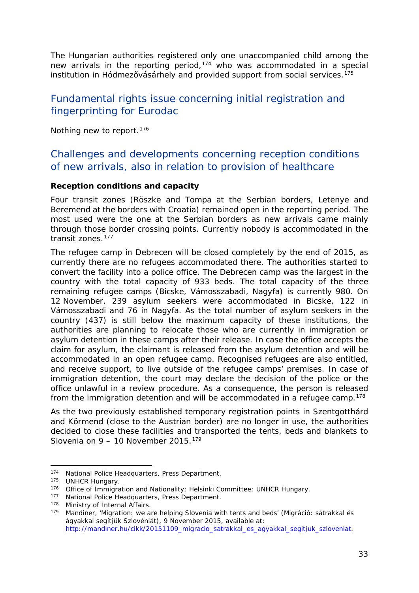<span id="page-32-1"></span>The Hungarian authorities registered only one unaccompanied child among the new arrivals in the reporting period,<sup>[174](#page-32-0)</sup> who was accommodated in a special institution in Hódmezővásárhely and provided support from social services.<sup>[175](#page-32-1)</sup>

## Fundamental rights issue concerning initial registration and fingerprinting for Eurodac

Nothing new to report.<sup>[176](#page-32-2)</sup>

## Challenges and developments concerning reception conditions of new arrivals, also in relation to provision of healthcare

#### **Reception conditions and capacity**

Four transit zones (Röszke and Tompa at the Serbian borders, Letenye and Beremend at the borders with Croatia) remained open in the reporting period. The most used were the one at the Serbian borders as new arrivals came mainly through those border crossing points. Currently nobody is accommodated in the transit zones.[177](#page-32-3)

The refugee camp in Debrecen will be closed completely by the end of 2015, as currently there are no refugees accommodated there. The authorities started to convert the facility into a police office. The Debrecen camp was the largest in the country with the total capacity of 933 beds. The total capacity of the three remaining refugee camps (Bicske, Vámosszabadi, Nagyfa) is currently 980. On 12 November, 239 asylum seekers were accommodated in Bicske, 122 in Vámosszabadi and 76 in Nagyfa. As the total number of asylum seekers in the country (437) is still below the maximum capacity of these institutions, the authorities are planning to relocate those who are currently in immigration or asylum detention in these camps after their release. In case the office accepts the claim for asylum, the claimant is released from the asylum detention and will be accommodated in an open refugee camp. Recognised refugees are also entitled, and receive support, to live outside of the refugee camps' premises. In case of immigration detention, the court may declare the decision of the police or the office unlawful in a review procedure. As a consequence, the person is released from the immigration detention and will be accommodated in a refugee camp.<sup>[178](#page-32-4)</sup>

As the two previously established temporary registration points in Szentgotthárd and Körmend (close to the Austrian border) are no longer in use, the authorities decided to close these facilities and transported the tents, beds and blankets to Slovenia on  $9 - 10$  November 2015.<sup>[179](#page-32-5)</sup>

<sup>174</sup> National Police Headquarters, Press Department. j.

<span id="page-32-0"></span><sup>175</sup> UNHCR Hungary.

<span id="page-32-2"></span><sup>176</sup> Office of Immigration and Nationality; Helsinki Committee; UNHCR Hungary.

<span id="page-32-3"></span><sup>177</sup> National Police Headquarters, Press Department.

<span id="page-32-4"></span><sup>178</sup> Ministry of Internal Affairs.

<span id="page-32-5"></span><sup>179</sup> Mandiner, 'Migration: we are helping Slovenia with tents and beds' (*Migráció: sátrakkal és ágyakkal segítjük Szlovéniát)*, 9 November 2015, available at: [http://mandiner.hu/cikk/20151109\\_migracio\\_satrakkal\\_es\\_agyakkal\\_segitjuk\\_szloveniat.](http://mandiner.hu/cikk/20151109_migracio_satrakkal_es_agyakkal_segitjuk_szloveniat)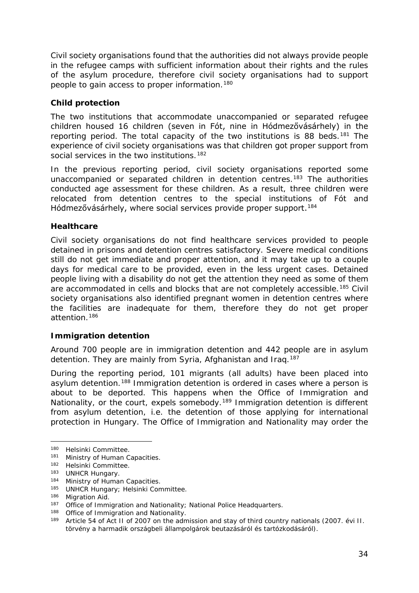<span id="page-33-2"></span>Civil society organisations found that the authorities did not always provide people in the refugee camps with sufficient information about their rights and the rules of the asylum procedure, therefore civil society organisations had to support people to gain access to proper information.[180](#page-33-0)

#### **Child protection**

The two institutions that accommodate unaccompanied or separated refugee children housed 16 children (seven in Fót, nine in Hódmezővásárhely) in the reporting period. The total capacity of the two institutions is 88 beds.<sup>[181](#page-33-1)</sup> The experience of civil society organisations was that children got proper support from social services in the two institutions.<sup>[182](#page-33-2)</sup>

In the previous reporting period, civil society organisations reported some unaccompanied or separated children in detention centres.<sup>[183](#page-33-3)</sup> The authorities conducted age assessment for these children. As a result, three children were relocated from detention centres to the special institutions of Fót and Hódmezővásárhely, where social services provide proper support.<sup>[184](#page-33-2)</sup>

#### **Healthcare**

Civil society organisations do not find healthcare services provided to people detained in prisons and detention centres satisfactory. Severe medical conditions still do not get immediate and proper attention, and it may take up to a couple days for medical care to be provided, even in the less urgent cases. Detained people living with a disability do not get the attention they need as some of them are accommodated in cells and blocks that are not completely accessible.<sup>[185](#page-33-4)</sup> Civil society organisations also identified pregnant women in detention centres where the facilities are inadequate for them, therefore they do not get proper attention.[186](#page-33-2)

#### **Immigration detention**

Around 700 people are in immigration detention and 442 people are in asylum detention. They are mainly from Syria, Afghanistan and Iraq.<sup>[187](#page-33-5)</sup>

During the reporting period, 101 migrants (all adults) have been placed into asylum detention.[188](#page-33-6) Immigration detention is ordered in cases where a person is about to be deported. This happens when the Office of Immigration and Nationality, or the court, expels somebody.<sup>[189](#page-33-2)</sup> Immigration detention is different from asylum detention, i.e. the detention of those applying for international protection in Hungary. The Office of Immigration and Nationality may order the

<sup>180</sup> Helsinki Committee. -

<span id="page-33-1"></span><span id="page-33-0"></span><sup>181</sup> Ministry of Human Capacities.

<sup>182</sup> Helsinki Committee.

<span id="page-33-3"></span><sup>183</sup> UNHCR Hungary.

<sup>184</sup> Ministry of Human Capacities.

<span id="page-33-4"></span><sup>185</sup> UNHCR Hungary; Helsinki Committee.

<sup>186</sup> Migration Aid.

<span id="page-33-5"></span><sup>&</sup>lt;sup>187</sup> Office of Immigration and Nationality; National Police Headquarters.

<span id="page-33-6"></span><sup>188</sup> Office of Immigration and Nationality.

<sup>189</sup> Article 54 of Act II of 2007 on the admission and stay of third country nationals *(2007. évi II. törvény a harmadik országbeli állampolgárok beutazásáról és tartózkodásáról)*.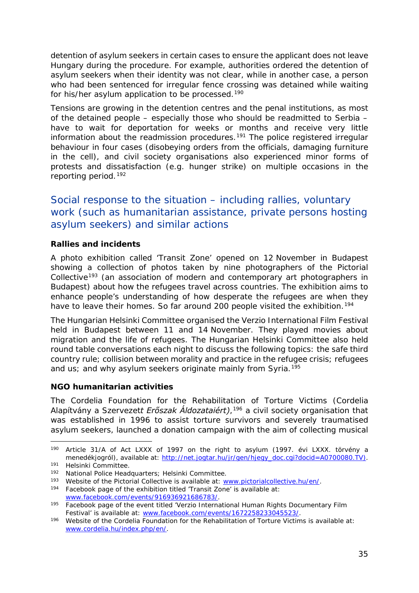<span id="page-34-2"></span>detention of asylum seekers in certain cases to ensure the applicant does not leave Hungary during the procedure. For example, authorities ordered the detention of asylum seekers when their identity was not clear, while in another case, a person who had been sentenced for irregular fence crossing was detained while waiting for his/her asylum application to be processed.<sup>[190](#page-34-0)</sup>

Tensions are growing in the detention centres and the penal institutions, as most of the detained people – especially those who should be readmitted to Serbia – have to wait for deportation for weeks or months and receive very little information about the readmission procedures.<sup>[191](#page-34-1)</sup> The police registered irregular behaviour in four cases (disobeying orders from the officials, damaging furniture in the cell), and civil society organisations also experienced minor forms of protests and dissatisfaction (e.g. hunger strike) on multiple occasions in the reporting period.[192](#page-34-2)

Social response to the situation – including rallies, voluntary work (such as humanitarian assistance, private persons hosting asylum seekers) and similar actions

#### **Rallies and incidents**

A photo exhibition called 'Transit Zone' opened on 12 November in Budapest showing a collection of photos taken by nine photographers of the Pictorial Collective<sup>[193](#page-34-3)</sup> (an association of modern and contemporary art photographers in Budapest) about how the refugees travel across countries. The exhibition aims to enhance people's understanding of how desperate the refugees are when they have to leave their homes. So far around 200 people visited the exhibition.<sup>[194](#page-34-2)</sup>

The Hungarian Helsinki Committee organised the Verzio International Film Festival held in Budapest between 11 and 14 November. They played movies about migration and the life of refugees. The Hungarian Helsinki Committee also held round table conversations each night to discuss the following topics: the safe third country rule; collision between morality and practice in the refugee crisis; refugees and us; and why asylum seekers originate mainly from Syria.<sup>[195](#page-34-4)</sup>

#### **NGO humanitarian activities**

The Cordelia Foundation for the Rehabilitation of Torture Victims (*Cordelia Alapítvány a Szervezett Erőszak Áldozataiért)*,[196](#page-34-5) a civil society organisation that was established in 1996 to assist torture survivors and severely traumatised asylum seekers, launched a donation campaign with the aim of collecting musical

<span id="page-34-0"></span><sup>190</sup> Article 31/A of Act LXXX of 1997 on the right to asylum (*1997. évi LXXX. törvény a menedékjogról)*, available at: [http://net.jogtar.hu/jr/gen/hjegy\\_doc.cgi?docid=A0700080.TV\).](http://net.jogtar.hu/jr/gen/hjegy_doc.cgi?docid=A0700080.TV))<br><sup>191</sup> Helsinki Committee. -

<span id="page-34-1"></span><sup>&</sup>lt;sup>192</sup> National Police Headquarters; Helsinki Committee.<br><sup>193</sup> Website of the Pictorial Collective is available at: www.pictorialcollective.hu/en/.

<span id="page-34-3"></span> $194$  Facebook page of the exhibition titled 'Transit Zone' is available at:

<span id="page-34-4"></span>[www.facebook.com/events/916936921686783/.](http://www.facebook.com/events/916936921686783/)<br>
Facebook page of the event titled 'Verzio International Human Rights Documentary Film<br>
Festival' is available at: www.facebook.com/events/1672258233045523/.

<span id="page-34-5"></span> $196$  Website of the Cordelia Foundation for the Rehabilitation of Torture Victims is available at: [www.cordelia.hu/index.php/en/.](http://www.cordelia.hu/index.php/en/)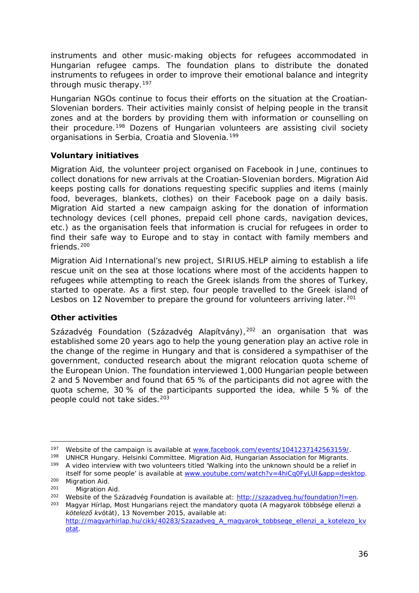<span id="page-35-2"></span>instruments and other music-making objects for refugees accommodated in Hungarian refugee camps. The foundation plans to distribute the donated instruments to refugees in order to improve their emotional balance and integrity through music therapy.[197](#page-35-0)

Hungarian NGOs continue to focus their efforts on the situation at the Croatian-Slovenian borders. Their activities mainly consist of helping people in the transit zones and at the borders by providing them with information or counselling on their procedure.[198](#page-35-1) Dozens of Hungarian volunteers are assisting civil society organisations in Serbia, Croatia and Slovenia.<sup>[199](#page-35-2)</sup>

#### **Voluntary initiatives**

Migration Aid, the volunteer project organised on Facebook in June, continues to collect donations for new arrivals at the Croatian-Slovenian borders. Migration Aid keeps posting calls for donations requesting specific supplies and items (mainly food, beverages, blankets, clothes) on their Facebook page on a daily basis. Migration Aid started a new campaign asking for the donation of information technology devices (cell phones, prepaid cell phone cards, navigation devices, etc.) as the organisation feels that information is crucial for refugees in order to find their safe way to Europe and to stay in contact with family members and friends. $200$ 

Migration Aid International's new project, SIRIUS.HELP aiming to establish a life rescue unit on the sea at those locations where most of the accidents happen to refugees while attempting to reach the Greek islands from the shores of Turkey, started to operate. As a first step, four people travelled to the Greek island of Lesbos on 12 November to prepare the ground for volunteers arriving later.<sup>[201](#page-35-4)</sup>

#### **Other activities**

Századvég Foundation (*Századvég Alapítvány),*[202](#page-35-5) an organisation that was established some 20 years ago to help the young generation play an active role in the change of the regime in Hungary and that is considered a sympathiser of the government, conducted research about the migrant relocation quota scheme of the European Union. The foundation interviewed 1,000 Hungarian people between 2 and 5 November and found that 65 % of the participants did not agree with the quota scheme, 30 % of the participants supported the idea, while 5 % of the people could not take sides.<sup>203</sup>

<span id="page-35-0"></span><sup>&</sup>lt;sup>197</sup> Website of the campaign is available at [www.facebook.com/events/1041237142563159/.](http://www.facebook.com/events/1041237142563159/)<br><sup>198</sup> UNHCR Hungary. Helsinki Committee. Migration Aid, Hungarian Association for Migrants. -

<span id="page-35-1"></span><sup>199</sup> A video interview with two volunteers titled 'Walking into the unknown should be a relief in itself for some people' is available at <u>www.youtube.com/watch?v=4hiCq0FyLUI&app=desktop</u>.<br>
200 Migration Aid.<br>
201 Migration Aid.<br>
<sup>201</sup> Website of the Századvég Foundation is available at: http://szazadveg.hu/foundation?

<span id="page-35-3"></span>

<span id="page-35-5"></span><span id="page-35-4"></span>

<sup>&</sup>lt;sup>203</sup> Magyar Hírlap, Most Hungarians reject the mandatory quota (*A magyarok többsége ellenzi a kötelező kvótát)*, 13 November 2015, available at: [http://magyarhirlap.hu/cikk/40283/Szazadveg\\_A\\_magyarok\\_tobbsege\\_ellenzi\\_a\\_kotelezo\\_kv](http://magyarhirlap.hu/cikk/40283/Szazadveg_A_magyarok_tobbsege_ellenzi_a_kotelezo_kvotat)

[otat.](http://magyarhirlap.hu/cikk/40283/Szazadveg_A_magyarok_tobbsege_ellenzi_a_kotelezo_kvotat)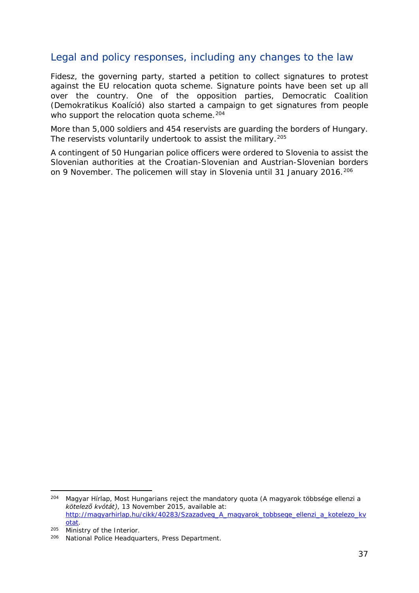## Legal and policy responses, including any changes to the law

Fidesz, the governing party, started a petition to collect signatures to protest against the EU relocation quota scheme. Signature points have been set up all over the country. One of the opposition parties, Democratic Coalition (*Demokratikus Koalíció)* also started a campaign to get signatures from people who support the relocation quota scheme.<sup>[204](#page-36-0)</sup>

More than 5,000 soldiers and 454 reservists are guarding the borders of Hungary. The reservists voluntarily undertook to assist the military.<sup>[205](#page-36-1)</sup>

A contingent of 50 Hungarian police officers were ordered to Slovenia to assist the Slovenian authorities at the Croatian-Slovenian and Austrian-Slovenian borders on 9 November. The policemen will stay in Slovenia until 31 January 2016.<sup>[206](#page-36-2)</sup>

<span id="page-36-0"></span><sup>204</sup> Magyar Hírlap, Most Hungarians reject the mandatory quota (*A magyarok többsége ellenzi a kötelező kvótát)*, 13 November 2015, available at: [http://magyarhirlap.hu/cikk/40283/Szazadveg\\_A\\_magyarok\\_tobbsege\\_ellenzi\\_a\\_kotelezo\\_kv](http://magyarhirlap.hu/cikk/40283/Szazadveg_A_magyarok_tobbsege_ellenzi_a_kotelezo_kvotat) [otat.](http://magyarhirlap.hu/cikk/40283/Szazadveg_A_magyarok_tobbsege_ellenzi_a_kotelezo_kvotat) 204

<span id="page-36-1"></span> $205$  Ministry of the Interior.

<span id="page-36-2"></span><sup>206</sup> National Police Headquarters, Press Department.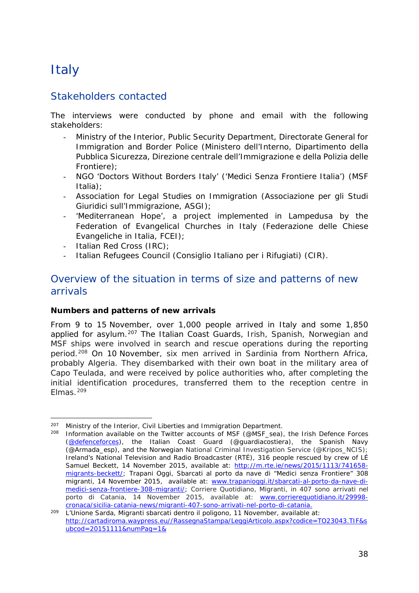## <span id="page-37-0"></span>**Italy**

## Stakeholders contacted

The interviews were conducted by phone and email with the following stakeholders:

- Ministry of the Interior, Public Security Department, Directorate General for Immigration and Border Police (*Ministero dell'Interno, Dipartimento della Pubblica Sicurezza, Direzione centrale dell'Immigrazione e della Polizia delle Frontiere*);
- NGO 'Doctors Without Borders Italy' ('*Medici Senza Frontiere Italia'*) (MSF Italia);
- Association for Legal Studies on Immigration (*Associazione per gli Studi Giuridici sull'Immigrazione*, ASGI);
- 'Mediterranean Hope', a project implemented in Lampedusa by the Federation of Evangelical Churches in Italy (*Federazione delle Chiese Evangeliche in Italia*, FCEI);
- Italian Red Cross (IRC);
- Italian Refugees Council (*Consiglio Italiano per i Rifugiati*) (CIR).

## Overview of the situation in terms of size and patterns of new arrivals

#### **Numbers and patterns of new arrivals**

From 9 to 15 November, over 1,000 people arrived in Italy and some 1,850 applied for asylum.<sup>[207](#page-37-1)</sup> The Italian Coast Guards, Irish, Spanish, Norwegian and MSF ships were involved in search and rescue operations during the reporting period.[208](#page-37-2) On 10 November, six men arrived in Sardinia from Northern Africa, probably Algeria. They disembarked with their own boat in the military area of Capo Teulada, and were received by police authorities who, after completing the initial identification procedures, transferred them to the reception centre in Elmas.[209](#page-37-3)

<span id="page-37-1"></span><sup>&</sup>lt;sup>207</sup> Ministry of the Interior, Civil Liberties and Immigration Department.<br><sup>208</sup> Information available on the Twitter accounts of MSE (@MSE sea) -

<span id="page-37-2"></span>Information available on the Twitter accounts of MSF (@MSF\_sea), the Irish Defence Forces [\(@defenceforces\)](https://twitter.com/defenceforces), the Italian Coast Guard (@guardiacostiera), the Spanish Navy (@Armada\_esp), and the Norwegian National Criminal Investigation Service (@Kripos\_NCIS); Ireland's National Television and Radio Broadcaster (RTÉ), *316 people rescued by crew of LÉ Samuel Beckett*, 14 November 2015, available at: [http://m.rte.ie/news/2015/1113/741658](http://m.rte.ie/news/2015/1113/741658-migrants-beckett/) [migrants-beckett/;](http://m.rte.ie/news/2015/1113/741658-migrants-beckett/) Trapani Oggi, *Sbarcati al porto da nave di "Medici senza Frontiere" 308 migranti,* 14 November 2015, available at: [www.trapanioggi.it/sbarcati-al-porto-da-nave-di](http://www.trapanioggi.it/sbarcati-al-porto-da-nave-di-medici-senza-frontiere-308-migranti/)[medici-senza-frontiere-308-migranti/;](http://www.trapanioggi.it/sbarcati-al-porto-da-nave-di-medici-senza-frontiere-308-migranti/) Corriere Quotidiano, *Migranti, in 407 sono arrivati nel porto di Catania*, 14 November 2015, available at: [www.corrierequotidiano.it/29998-](http://www.corrierequotidiano.it/29998-cronaca/sicilia-catania-news/migranti-407-sono-arrivati-nel-porto-di-catania)

<span id="page-37-3"></span>[cronaca/sicilia-catania-news/migranti-407-sono-arrivati-nel-porto-di-catania.](http://www.corrierequotidiano.it/29998-cronaca/sicilia-catania-news/migranti-407-sono-arrivati-nel-porto-di-catania) 209 L'Unione Sarda, *Migranti sbarcati dentro il poligono,* 11 November, available at: [http://cartadiroma.waypress.eu//RassegnaStampa/LeggiArticolo.aspx?codice=TO23043.TIF&s](http://cartadiroma.waypress.eu/RassegnaStampa/LeggiArticolo.aspx?codice=TO23043.TIF&subcod=20151111&numPag=1&) [ubcod=20151111&numPag=1&](http://cartadiroma.waypress.eu/RassegnaStampa/LeggiArticolo.aspx?codice=TO23043.TIF&subcod=20151111&numPag=1&)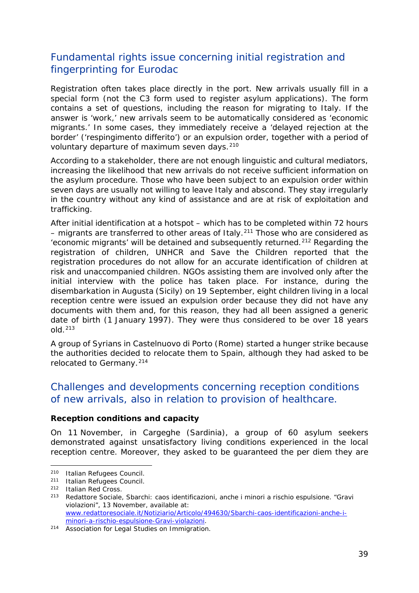## <span id="page-38-2"></span>Fundamental rights issue concerning initial registration and fingerprinting for Eurodac

Registration often takes place directly in the port. New arrivals usually fill in a special form (not the C3 form used to register asylum applications). The form contains a set of questions, including the reason for migrating to Italy. If the answer is 'work,' new arrivals seem to be automatically considered as 'economic migrants.' In some cases, they immediately receive a 'delayed rejection at the border' ('*respingimento differito*') or an expulsion order, together with a period of voluntary departure of maximum seven days.<sup>[210](#page-38-0)</sup>

According to a stakeholder, there are not enough linguistic and cultural mediators, increasing the likelihood that new arrivals do not receive sufficient information on the asylum procedure. Those who have been subject to an expulsion order within seven days are usually not willing to leave Italy and abscond. They stay irregularly in the country without any kind of assistance and are at risk of exploitation and trafficking.

After initial identification at a hotspot – which has to be completed within 72 hours  $-$  migrants are transferred to other areas of Italy.<sup>[211](#page-38-1)</sup> Those who are considered as 'economic migrants' will be detained and subsequently returned.[212](#page-38-2) Regarding the registration of children, UNHCR and Save the Children reported that the registration procedures do not allow for an accurate identification of children at risk and unaccompanied children. NGOs assisting them are involved only after the initial interview with the police has taken place. For instance, during the disembarkation in Augusta (Sicily) on 19 September, eight children living in a local reception centre were issued an expulsion order because they did not have any documents with them and, for this reason, they had all been assigned a generic date of birth (1 January 1997). They were thus considered to be over 18 years  $old<sup>213</sup>$  $old<sup>213</sup>$  $old<sup>213</sup>$ 

A group of Syrians in Castelnuovo di Porto (Rome) started a hunger strike because the authorities decided to relocate them to Spain, although they had asked to be relocated to Germany.<sup>[214](#page-38-3)</sup>

## Challenges and developments concerning reception conditions of new arrivals, also in relation to provision of healthcare.

#### **Reception conditions and capacity**

On 11 November, in Cargeghe (Sardinia), a group of 60 asylum seekers demonstrated against unsatisfactory living conditions experienced in the local reception centre. Moreover, they asked to be guaranteed the *per diem* they are

j.

<span id="page-38-0"></span><sup>210</sup> Italian Refugees Council.

<span id="page-38-1"></span><sup>211</sup> Italian Refugees Council.

<sup>212</sup> Italian Red Cross.

<sup>213</sup> Redattore Sociale, *Sbarchi: caos identificazioni, anche i minori a rischio espulsione. "Gravi violazioni",* 13 November, available at: [www.redattoresociale.it/Notiziario/Articolo/494630/Sbarchi-caos-identificazioni-anche-i](http://www.redattoresociale.it/Notiziario/Articolo/494630/Sbarchi-caos-identificazioni-anche-i-minori-a-rischio-espulsione-Gravi-violazioni)[minori-a-rischio-espulsione-Gravi-violazioni.](http://www.redattoresociale.it/Notiziario/Articolo/494630/Sbarchi-caos-identificazioni-anche-i-minori-a-rischio-espulsione-Gravi-violazioni)

<span id="page-38-3"></span><sup>214</sup> Association for Legal Studies on Immigration.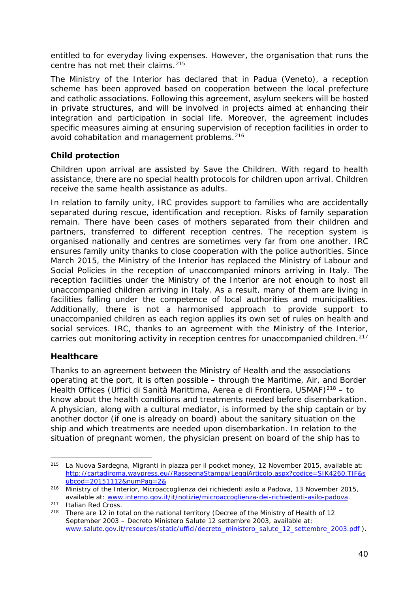entitled to for everyday living expenses. However, the organisation that runs the centre has not met their claims.<sup>[215](#page-39-0)</sup>

The Ministry of the Interior has declared that in Padua (Veneto), a reception scheme has been approved based on cooperation between the local prefecture and catholic associations. Following this agreement, asylum seekers will be hosted in private structures, and will be involved in projects aimed at enhancing their integration and participation in social life. Moreover, the agreement includes specific measures aiming at ensuring supervision of reception facilities in order to avoid cohabitation and management problems.<sup>[216](#page-39-1)</sup>

#### **Child protection**

Children upon arrival are assisted by Save the Children. With regard to health assistance, there are no special health protocols for children upon arrival. Children receive the same health assistance as adults.

In relation to family unity, IRC provides support to families who are accidentally separated during rescue, identification and reception. Risks of family separation remain. There have been cases of mothers separated from their children and partners, transferred to different reception centres. The reception system is organised nationally and centres are sometimes very far from one another. IRC ensures family unity thanks to close cooperation with the police authorities. Since March 2015, the Ministry of the Interior has replaced the Ministry of Labour and Social Policies in the reception of unaccompanied minors arriving in Italy. The reception facilities under the Ministry of the Interior are not enough to host all unaccompanied children arriving in Italy. As a result, many of them are living in facilities falling under the competence of local authorities and municipalities. Additionally, there is not a harmonised approach to provide support to unaccompanied children as each region applies its own set of rules on health and social services. IRC, thanks to an agreement with the Ministry of the Interior, carries out monitoring activity in reception centres for unaccompanied children.<sup>[217](#page-39-2)</sup>

#### **Healthcare**

Thanks to an agreement between the Ministry of Health and the associations operating at the port, it is often possible – through the Maritime, Air, and Border Health Offices (*Uffici di Sanità Marittima, Aerea e di Frontiera*, USMAF)[218](#page-39-3) – to know about the health conditions and treatments needed before disembarkation. A physician, along with a cultural mediator, is informed by the ship captain or by another doctor (if one is already on board) about the sanitary situation on the ship and which treatments are needed upon disembarkation. In relation to the situation of pregnant women, the physician present on board of the ship has to

<span id="page-39-0"></span><sup>215</sup> La Nuova Sardegna, *Migranti in piazza per il pocket money,* 12 November 2015, available at: [http://cartadiroma.waypress.eu//RassegnaStampa/LeggiArticolo.aspx?codice=SIK4260.TIF&s](http://cartadiroma.waypress.eu/RassegnaStampa/LeggiArticolo.aspx?codice=SIK4260.TIF&subcod=20151112&numPag=2&) [ubcod=20151112&numPag=2&](http://cartadiroma.waypress.eu/RassegnaStampa/LeggiArticolo.aspx?codice=SIK4260.TIF&subcod=20151112&numPag=2&) j.

<span id="page-39-1"></span><sup>216</sup> Ministry of the Interior, *Microaccoglienza dei richiedenti asilo a Padova,* 13 November 2015, available at: [www.interno.gov.it/it/notizie/microaccoglienza-dei-richiedenti-asilo-padova.](http://www.interno.gov.it/it/notizie/microaccoglienza-dei-richiedenti-asilo-padova)<br><sup>217</sup> Italian Red Cross.

<span id="page-39-3"></span><span id="page-39-2"></span><sup>&</sup>lt;sup>218</sup> There are 12 in total on the national territory (Decree of the Ministry of Health of 12 September 2003 – *Decreto Ministero Salute 12 settembre 2003*, available at: [www.salute.gov.it/resources/static/uffici/decreto\\_ministero\\_salute\\_12\\_settembre\\_2003.pdf](http://www.salute.gov.it/resources/static/uffici/decreto_ministero_salute_12_settembre_2003.pdf) ).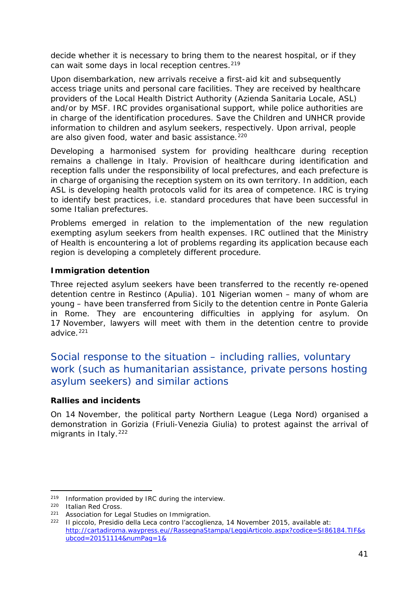decide whether it is necessary to bring them to the nearest hospital, or if they can wait some days in local reception centres.<sup>[219](#page-40-0)</sup>

Upon disembarkation, new arrivals receive a first-aid kit and subsequently access triage units and personal care facilities. They are received by healthcare providers of the Local Health District Authority (*Azienda Sanitaria Locale*, ASL) and/or by MSF. IRC provides organisational support, while police authorities are in charge of the identification procedures. Save the Children and UNHCR provide information to children and asylum seekers, respectively. Upon arrival, people are also given food, water and basic assistance.<sup>[220](#page-40-1)</sup>

Developing a harmonised system for providing healthcare during reception remains a challenge in Italy. Provision of healthcare during identification and reception falls under the responsibility of local prefectures, and each prefecture is in charge of organising the reception system on its own territory. In addition, each ASL is developing health protocols valid for its area of competence. IRC is trying to identify best practices, i.e. standard procedures that have been successful in some Italian prefectures.

Problems emerged in relation to the implementation of the new regulation exempting asylum seekers from health expenses. IRC outlined that the Ministry of Health is encountering a lot of problems regarding its application because each region is developing a completely different procedure.

#### **Immigration detention**

Three rejected asylum seekers have been transferred to the recently re-opened detention centre in Restinco (Apulia). 101 Nigerian women – many of whom are young – have been transferred from Sicily to the detention centre in Ponte Galeria in Rome. They are encountering difficulties in applying for asylum. On 17 November, lawyers will meet with them in the detention centre to provide advice. $221$ 

## Social response to the situation – including rallies, voluntary work (such as humanitarian assistance, private persons hosting asylum seekers) and similar actions

#### **Rallies and incidents**

On 14 November, the political party Northern League (*Lega Nord*) organised a demonstration in Gorizia (Friuli-Venezia Giulia) to protest against the arrival of migrants in Italy.<sup>[222](#page-40-3)</sup>

<sup>219</sup> Information provided by IRC during the interview. -

<span id="page-40-1"></span><span id="page-40-0"></span> $^{220}$  Italian Red Cross.<br> $^{221}$  Association for Leg

Association for Legal Studies on Immigration.

<span id="page-40-3"></span><span id="page-40-2"></span><sup>222</sup> Il piccolo*, Presidio della Leca contro l'accoglienza*, 14 November 2015, available at: [http://cartadiroma.waypress.eu//RassegnaStampa/LeggiArticolo.aspx?codice=SI86184.TIF&s](http://cartadiroma.waypress.eu/RassegnaStampa/LeggiArticolo.aspx?codice=SI86184.TIF&subcod=20151114&numPag=1&) [ubcod=20151114&numPag=1&](http://cartadiroma.waypress.eu/RassegnaStampa/LeggiArticolo.aspx?codice=SI86184.TIF&subcod=20151114&numPag=1&)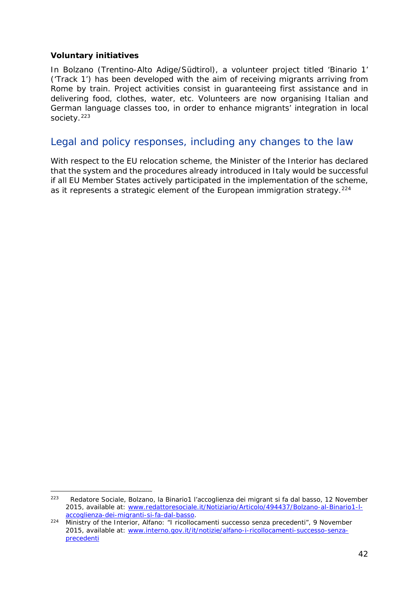#### **Voluntary initiatives**

In Bolzano (Trentino-Alto Adige/Südtirol), a volunteer project titled 'Binario 1' ('Track 1') has been developed with the aim of receiving migrants arriving from Rome by train. Project activities consist in guaranteeing first assistance and in delivering food, clothes, water, etc. Volunteers are now organising Italian and German language classes too, in order to enhance migrants' integration in local society.<sup>[223](#page-41-0)</sup>

### Legal and policy responses, including any changes to the law

With respect to the EU relocation scheme, the Minister of the Interior has declared that the system and the procedures already introduced in Italy would be successful if all EU Member States actively participated in the implementation of the scheme, as it represents a strategic element of the European immigration strategy.<sup>[224](#page-41-1)</sup>

<span id="page-41-0"></span><sup>223</sup> Redatore Sociale, *Bolzano, la Binario1 l'accoglienza dei migrant si fa dal basso,* 12 November 2015, available at: [www.redattoresociale.it/Notiziario/Articolo/494437/Bolzano-al-Binario1-l](http://www.redattoresociale.it/Notiziario/Articolo/494437/Bolzano-al-Binario1-l-accoglienza-dei-migranti-si-fa-dal-basso)[accoglienza-dei-migranti-si-fa-dal-basso.](http://www.redattoresociale.it/Notiziario/Articolo/494437/Bolzano-al-Binario1-l-accoglienza-dei-migranti-si-fa-dal-basso)  $223$ 

<span id="page-41-1"></span><sup>224</sup> Ministry of the Interior, *Alfano: "I ricollocamenti successo senza precedenti",* 9 November 2015, available at: [www.interno.gov.it/it/notizie/alfano-i-ricollocamenti-successo-senza](http://www.interno.gov.it/it/notizie/alfano-i-ricollocamenti-successo-senza-precedenti)[precedenti](http://www.interno.gov.it/it/notizie/alfano-i-ricollocamenti-successo-senza-precedenti)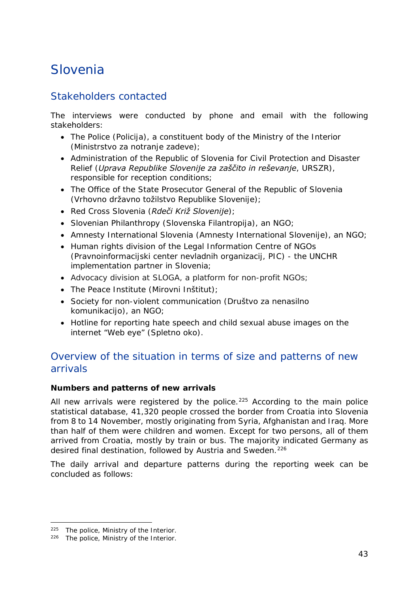## <span id="page-42-0"></span>Slovenia

## Stakeholders contacted

The interviews were conducted by phone and email with the following stakeholders:

- The Police (*Policija*), a constituent body of the Ministry of the Interior (*Ministrstvo za notranje zadeve*);
- Administration of the Republic of Slovenia for Civil Protection and Disaster Relief (*Uprava Republike Slovenije za zaščito in reševanje*, *URSZR*), responsible for reception conditions;
- The Office of the State Prosecutor General of the Republic of Slovenia (*Vrhovno državno tožilstvo Republike Slovenije*);
- Red Cross Slovenia (*Rdeči Križ Slovenije*);
- Slovenian Philanthropy (*Slovenska Filantropija*), an NGO;
- Amnesty International Slovenia (*Amnesty International Slovenije*), an NGO;
- Human rights division of the Legal Information Centre of NGOs (*Pravnoinformacijski center nevladnih organizacij, PIC*) - the UNCHR implementation partner in Slovenia;
- Advocacy division at SLOGA, a platform for non-profit NGOs;
- The Peace Institute (*Mirovni Inštitut*);
- Society for non-violent communication (*Društvo za nenasilno komunikacijo*), an NGO;
- Hotline for reporting hate speech and child sexual abuse images on the internet "Web eye" (*Spletno oko*).

## Overview of the situation in terms of size and patterns of new arrivals

#### **Numbers and patterns of new arrivals**

All new arrivals were registered by the police.<sup>[225](#page-42-1)</sup> According to the main police statistical database, 41,320 people crossed the border from Croatia into Slovenia from 8 to 14 November, mostly originating from Syria, Afghanistan and Iraq. More than half of them were children and women. Except for two persons, all of them arrived from Croatia, mostly by train or bus. The majority indicated Germany as desired final destination, followed by Austria and Sweden.<sup>[226](#page-42-2)</sup>

The daily arrival and departure patterns during the reporting week can be concluded as follows:

-

<span id="page-42-1"></span><sup>225</sup> The police, Ministry of the Interior.

<span id="page-42-2"></span><sup>226</sup> The police, Ministry of the Interior.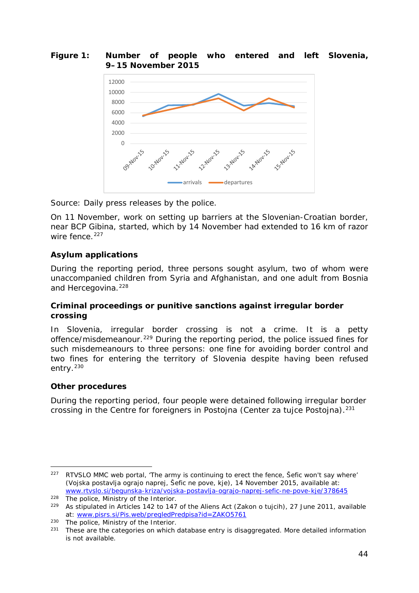#### <span id="page-43-3"></span>**Figure 1: Number of people who entered and left Slovenia, 9–15 November 2015**



*Source: Daily press releases by the police.*

On 11 November, work on setting up barriers at the Slovenian-Croatian border, near BCP Gibina, started, which by 14 November had extended to 16 km of razor wire fence.<sup>[227](#page-43-0)</sup>

#### **Asylum applications**

During the reporting period, three persons sought asylum, two of whom were unaccompanied children from Syria and Afghanistan, and one adult from Bosnia and Hercegovina.<sup>[228](#page-43-1)</sup>

#### **Criminal proceedings or punitive sanctions against irregular border crossing**

In Slovenia, irregular border crossing is not a crime. It is a petty offence/misdemeanour.<sup>[229](#page-43-2)</sup> During the reporting period, the police issued fines for such misdemeanours to three persons: one fine for avoiding border control and two fines for entering the territory of Slovenia despite having been refused entry.<sup>[230](#page-43-3)</sup>

#### **Other procedures**

During the reporting period, four people were detained following irregular border crossing in the Centre for foreigners in Postojna (*Center za tujce Postojna*).[231](#page-43-4)

<span id="page-43-0"></span> $227$  RTVSLO MMC web portal, 'The army is continuing to erect the fence, Sefic won't say where' *(Vojska postavlja ograjo naprej, Šefic ne pove, kje)*, 14 November 2015, available at: [www.rtvslo.si/begunska-kriza/vojska-postavlja-ograjo-naprej-sefic-ne-pove-kje/378645](http://www.rtvslo.si/begunska-kriza/vojska-postavlja-ograjo-naprej-sefic-ne-pove-kje/378645) -

<span id="page-43-2"></span><span id="page-43-1"></span><sup>&</sup>lt;sup>228</sup> The police, Ministry of the Interior.<br><sup>229</sup> As stipulated in Articles 142 to 147

<sup>229</sup> As stipulated in Articles 142 to 147 of the Aliens Act (*Zakon o tujcih*), 27 June 2011, available at: [www.pisrs.si/Pis.web/pregledPredpisa?id=ZAKO5761](http://www.pisrs.si/Pis.web/pregledPredpisa?id=ZAKO5761)

<span id="page-43-4"></span><sup>230</sup> The police, Ministry of the Interior.<br>231 These are the categories on which

These are the categories on which database entry is disaggregated. More detailed information is not available.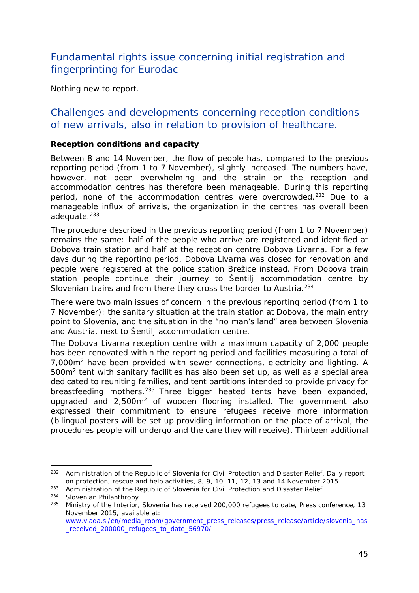## <span id="page-44-1"></span>Fundamental rights issue concerning initial registration and fingerprinting for Eurodac

Nothing new to report.

### Challenges and developments concerning reception conditions of new arrivals, also in relation to provision of healthcare.

#### **Reception conditions and capacity**

Between 8 and 14 November, the flow of people has, compared to the previous reporting period (from 1 to 7 November), slightly increased. The numbers have, however, not been overwhelming and the strain on the reception and accommodation centres has therefore been manageable. During this reporting period, none of the accommodation centres were overcrowded.<sup>[232](#page-44-0)</sup> Due to a manageable influx of arrivals, the organization in the centres has overall been adequate. $233$ 

The procedure described in the previous reporting period (from 1 to 7 November) remains the same: half of the people who arrive are registered and identified at Dobova train station and half at the reception centre Dobova Livarna. For a few days during the reporting period, Dobova Livarna was closed for renovation and people were registered at the police station Brežice instead. From Dobova train station people continue their journey to Šentilj accommodation centre by Slovenian trains and from there they cross the border to Austria.<sup>[234](#page-44-2)</sup>

There were two main issues of concern in the previous reporting period (from 1 to 7 November): the sanitary situation at the train station at Dobova, the main entry point to Slovenia, and the situation in the "no man's land" area between Slovenia and Austria, next to Šentilj accommodation centre.

The Dobova Livarna reception centre with a maximum capacity of 2,000 people has been renovated within the reporting period and facilities measuring a total of 7,000m2 have been provided with sewer connections, electricity and lighting. A 500m2 tent with sanitary facilities has also been set up, as well as a special area dedicated to reuniting families, and tent partitions intended to provide privacy for breastfeeding mothers.<sup>[235](#page-44-3)</sup> Three bigger heated tents have been expanded, upgraded and 2,500m2 of wooden flooring installed. The government also expressed their commitment to ensure refugees receive more information (bilingual posters will be set up providing information on the place of arrival, the procedures people will undergo and the care they will receive). Thirteen additional

<span id="page-44-0"></span><sup>232</sup> Administration of the Republic of Slovenia for Civil Protection and Disaster Relief, *Daily report on protection, rescue and help activities*, 8, 9, 10, 11, 12, 13 and 14 November 2015. j,

<sup>&</sup>lt;sup>233</sup> Administration of the Republic of Slovenia for Civil Protection and Disaster Relief.

<span id="page-44-2"></span><sup>234</sup> Slovenian Philanthropy.

<span id="page-44-3"></span><sup>235</sup> Ministry of the Interior, *Slovenia has received 200,000 refugees to date*, Press conference, 13 November 2015, available at: [www.vlada.si/en/media\\_room/government\\_press\\_releases/press\\_release/article/slovenia\\_has](http://www.vlada.si/en/media_room/government_press_releases/press_release/article/slovenia_has_received_200000_refugees_to_date_56970/)

received 200000 refugees to date 56970/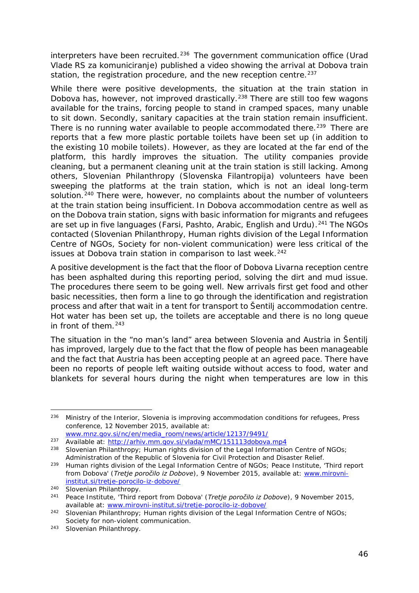<span id="page-45-3"></span>interpreters have been recruited.[236](#page-45-0) The government communication office (*Urad Vlade RS za komuniciranje*) published a video showing the arrival at Dobova train station, the registration procedure, and the new reception centre.<sup>[237](#page-45-1)</sup>

While there were positive developments, the situation at the train station in Dobova has, however, not improved drastically.<sup>[238](#page-45-2)</sup> There are still too few wagons available for the trains, forcing people to stand in cramped spaces, many unable to sit down. Secondly, sanitary capacities at the train station remain insufficient. There is no running water available to people accommodated there.<sup>[239](#page-45-3)</sup> There are reports that a few more plastic portable toilets have been set up (in addition to the existing 10 mobile toilets). However, as they are located at the far end of the platform, this hardly improves the situation. The utility companies provide cleaning, but a permanent cleaning unit at the train station is still lacking. Among others, Slovenian Philanthropy (*Slovenska Filantropija*) volunteers have been sweeping the platforms at the train station, which is not an ideal long-term solution.<sup>[240](#page-45-3)</sup> There were, however, no complaints about the number of volunteers at the train station being insufficient. In Dobova accommodation centre as well as on the Dobova train station, signs with basic information for migrants and refugees are set up in five languages (Farsi, Pashto, Arabic, English and Urdu).<sup>[241](#page-45-3)</sup> The NGOs contacted (Slovenian Philanthropy, Human rights division of the Legal Information Centre of NGOs, Society for non-violent communication) were less critical of the issues at Dobova train station in comparison to last week.<sup>[242](#page-45-3)</sup>

A positive development is the fact that the floor of Dobova Livarna reception centre has been asphalted during this reporting period, solving the dirt and mud issue. The procedures there seem to be going well. New arrivals first get food and other basic necessities, then form a line to go through the identification and registration process and after that wait in a tent for transport to Šentilj accommodation centre. Hot water has been set up, the toilets are acceptable and there is no long queue in front of them.[243](#page-45-4)

The situation in the "no man's land" area between Slovenia and Austria in Šentilj has improved, largely due to the fact that the flow of people has been manageable and the fact that Austria has been accepting people at an agreed pace. There have been no reports of people left waiting outside without access to food, water and blankets for several hours during the night when temperatures are low in this

<span id="page-45-0"></span><sup>236</sup> Ministry of the Interior, *Slovenia is improving accommodation conditions for refugees*, Press conference, 12 November 2015, available at: -

[www.mnz.gov.si/nc/en/media\\_room/news/article/12137/9491/](http://www.mnz.gov.si/nc/en/media_room/news/article/12137/9491/)

<span id="page-45-2"></span><span id="page-45-1"></span><sup>&</sup>lt;sup>237</sup> Available at: http://arhiv.mm.gov.si/vlada/mMC/151113dobova.mp4<br><sup>238</sup> Slovenian Philanthropy; Human rights division of the Legal Information Centre of NGOs;

Administration of the Republic of Slovenia for Civil Protection and Disaster Relief.

<sup>&</sup>lt;sup>239</sup> Human rights division of the Legal Information Centre of NGOs; Peace Institute, 'Third report from Dobova' (*Tretje poročilo iz Dobove*), 9 November 2015, available at: [www.mirovni](http://www.mirovni-institut.si/tretje-porocilo-iz-dobove/)[institut.si/tretje-porocilo-iz-dobove/](http://www.mirovni-institut.si/tretje-porocilo-iz-dobove/)

<sup>240</sup> Slovenian Philanthropy.

<sup>241</sup> Peace Institute, 'Third report from Dobova' (*Tretje poročilo iz Dobove*), 9 November 2015, available at: [www.mirovni-institut.si/tretje-porocilo-iz-dobove/](http://www.mirovni-institut.si/tretje-porocilo-iz-dobove/)

<sup>&</sup>lt;sup>242</sup> Slovenian Philanthropy; Human rights division of the Legal Information Centre of NGOs; Society for non-violent communication.

<span id="page-45-4"></span><sup>243</sup> Slovenian Philanthropy.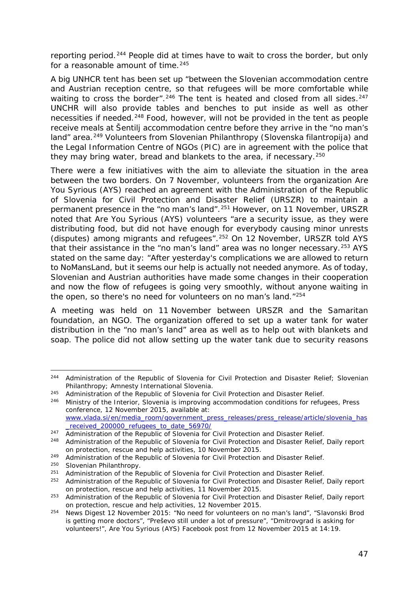<span id="page-46-3"></span>reporting period.[244](#page-46-0) People did at times have to wait to cross the border, but only for a reasonable amount of time.<sup>[245](#page-46-1)</sup>

A big UNHCR tent has been set up "*between the Slovenian accommodation centre and Austrian reception centre, so that refugees will be more comfortable while waiting to cross the border*".<sup>[246](#page-46-2)</sup> The tent is heated and closed from all sides.<sup>[247](#page-46-3)</sup> UNCHR will also provide tables and benches to put inside as well as other necessities if needed.<sup>[248](#page-46-3)</sup> Food, however, will not be provided in the tent as people receive meals at Šentilj accommodation centre before they arrive in the "no man's land" area.<sup>[249](#page-46-3)</sup> Volunteers from Slovenian Philanthropy (*Slovenska filantropija*) and the Legal Information Centre of NGOs (*PIC*) are in agreement with the police that they may bring water, bread and blankets to the area, if necessary.<sup>[250](#page-46-3)</sup>

There were a few initiatives with the aim to alleviate the situation in the area between the two borders. On 7 November, volunteers from the organization Are You Syrious (AYS) reached an agreement with the Administration of the Republic of Slovenia for Civil Protection and Disaster Relief (*URSZR*) to maintain a permanent presence in the "no man's land".[251](#page-46-4) However, on 11 November, *URSZR* noted that Are You Syrious (AYS) volunteers "are a security issue, as they were distributing food, but did not have enough for everybody causing minor unrests (disputes) among migrants and refugees".[252](#page-46-3) On 12 November, *URSZR* told AYS that their assistance in the "no man's land" area was no longer necessary.<sup>253</sup> AYS stated on the same day: "*After yesterday's complications we are allowed to return to NoMansLand, but it seems our help is actually not needed anymore. As of today, Slovenian and Austrian authorities have made some changes in their cooperation*  and now the flow of refugees is going very smoothly, without anyone waiting in *the open, so there's no need for volunteers on no man's land*."[254](#page-46-3)

A meeting was held on 11 November between *URSZR* and the Samaritan foundation, an NGO. The organization offered to set up a water tank for water distribution in the "no man's land" area as well as to help out with blankets and soap. The police did not allow setting up the water tank due to security reasons

-

<span id="page-46-0"></span><sup>&</sup>lt;sup>244</sup> Administration of the Republic of Slovenia for Civil Protection and Disaster Relief; Slovenian Philanthropy; Amnesty International Slovenia.

<span id="page-46-1"></span><sup>&</sup>lt;sup>245</sup> Administration of the Republic of Slovenia for Civil Protection and Disaster Relief.

<span id="page-46-2"></span><sup>246</sup> Ministry of the Interior, *Slovenia is improving accommodation conditions for refugees*, Press conference, 12 November 2015, available at: [www.vlada.si/en/media\\_room/government\\_press\\_releases/press\\_release/article/slovenia\\_has](http://www.vlada.si/en/media_room/government_press_releases/press_release/article/slovenia_has_received_200000_refugees_to_date_56970/)

[\\_received\\_200000\\_refugees\\_to\\_date\\_56970/](http://www.vlada.si/en/media_room/government_press_releases/press_release/article/slovenia_has_received_200000_refugees_to_date_56970/)

<sup>&</sup>lt;sup>247</sup> Administration of the Republic of Slovenia for Civil Protection and Disaster Relief. <sup>248</sup> Administration of the Republic of Slovenia for Civil Protection and Disaster Relief, *Daily report on protection, rescue and help activities*, 10 November 2015.

<sup>&</sup>lt;sup>249</sup> Administration of the Republic of Slovenia for Civil Protection and Disaster Relief.

<sup>&</sup>lt;sup>250</sup> Slovenian Philanthropy.<br><sup>251</sup> Administration of the Pe

<span id="page-46-4"></span><sup>&</sup>lt;sup>251</sup> Administration of the Republic of Slovenia for Civil Protection and Disaster Relief.<br><sup>252</sup> Administration of the Penublic of Slovenia for Civil Protection and Disaster Poliof

<sup>252</sup> Administration of the Republic of Slovenia for Civil Protection and Disaster Relief, *Daily report on protection, rescue and help activities*, 11 November 2015.

<sup>253</sup> Administration of the Republic of Slovenia for Civil Protection and Disaster Relief, *Daily report on protection, rescue and help activities*, 12 November 2015.

<sup>254</sup> News Digest 12 November 2015: "*No need for volunteers on no man's land", "Slavonski Brod is getting more doctors", "Preševo still under a lot of pressure", "Dmitrovgrad is asking for volunteers!*", Are You Syrious (AYS) Facebook post from 12 November 2015 at 14:19.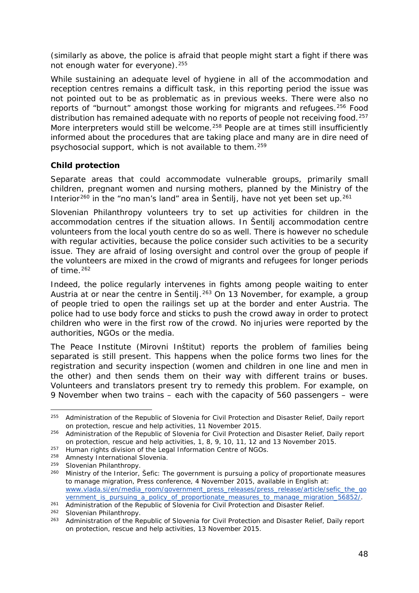<span id="page-47-6"></span>(similarly as above, the police is afraid that people might start a fight if there was not enough water for everyone).<sup>255</sup>

While sustaining an adequate level of hygiene in all of the accommodation and reception centres remains a difficult task, in this reporting period the issue was not pointed out to be as problematic as in previous weeks. There were also no reports of "burnout" amongst those working for migrants and refugees.<sup>[256](#page-47-1)</sup> Food distribution has remained adequate with no reports of people not receiving food.<sup>[257](#page-47-2)</sup> More interpreters would still be welcome.<sup>[258](#page-47-3)</sup> People are at times still insufficiently informed about the procedures that are taking place and many are in dire need of psychosocial support, which is not available to them.[259](#page-47-4)

#### **Child protection**

Separate areas that could accommodate vulnerable groups, primarily small children, pregnant women and nursing mothers, planned by the Ministry of the Interior<sup>[260](#page-47-5)</sup> in the "no man's land" area in Šentilj, have not yet been set up.<sup>[261](#page-47-6)</sup>

Slovenian Philanthropy volunteers try to set up activities for children in the accommodation centres if the situation allows. In Šentilj accommodation centre volunteers from the local youth centre do so as well. There is however no schedule with regular activities, because the police consider such activities to be a security issue. They are afraid of losing oversight and control over the group of people if the volunteers are mixed in the crowd of migrants and refugees for longer periods of time.<sup>[262](#page-47-7)</sup>

Indeed, the police regularly intervenes in fights among people waiting to enter Austria at or near the centre in Šentili.<sup>[263](#page-47-8)</sup> On 13 November, for example, a group of people tried to open the railings set up at the border and enter Austria. The police had to use body force and sticks to push the crowd away in order to protect children who were in the first row of the crowd. No injuries were reported by the authorities, NGOs or the media.

The Peace Institute (*Mirovni Inštitut*) reports the problem of families being separated is still present. This happens when the police forms two lines for the registration and security inspection (women and children in one line and men in the other) and then sends them on their way with different trains or buses. Volunteers and translators present try to remedy this problem. For example, on 9 November when two trains – each with the capacity of 560 passengers – were

-

<span id="page-47-0"></span><sup>255</sup> Administration of the Republic of Slovenia for Civil Protection and Disaster Relief, *Daily report on protection, rescue and help activities*, 11 November 2015.

<span id="page-47-1"></span><sup>256</sup> Administration of the Republic of Slovenia for Civil Protection and Disaster Relief, *Daily report on protection, rescue and help activities*, 1, 8, 9, 10, 11, 12 and 13 November 2015.

<span id="page-47-2"></span><sup>&</sup>lt;sup>257</sup> Human rights division of the Legal Information Centre of NGOs.

<span id="page-47-3"></span><sup>&</sup>lt;sup>258</sup> Amnesty International Slovenia.

<span id="page-47-4"></span> $^{259}$  Slovenian Philanthropy.<br> $^{260}$  Ministry of the Interior

<span id="page-47-5"></span><sup>260</sup> Ministry of the Interior, *Šefic: The government is pursuing a policy of proportionate measures to manage migration*, Press conference, 4 November 2015, available in English at: [www.vlada.si/en/media\\_room/government\\_press\\_releases/press\\_release/article/sefic\\_the\\_go](http://www.vlada.si/en/media_room/government_press_releases/press_release/article/sefic_the_government_is_pursuing_a_policy_of_proportionate_measures_to_manage_migration_56852/) [vernment\\_is\\_pursuing\\_a\\_policy\\_of\\_proportionate\\_measures\\_to\\_manage\\_migration\\_56852/.](http://www.vlada.si/en/media_room/government_press_releases/press_release/article/sefic_the_government_is_pursuing_a_policy_of_proportionate_measures_to_manage_migration_56852/)

<sup>261</sup> Administration of the Republic of Slovenia for Civil Protection and Disaster Relief.

<span id="page-47-7"></span><sup>262</sup> Slovenian Philanthropy.

<span id="page-47-8"></span><sup>263</sup> Administration of the Republic of Slovenia for Civil Protection and Disaster Relief, *Daily report on protection, rescue and help activities*, 13 November 2015.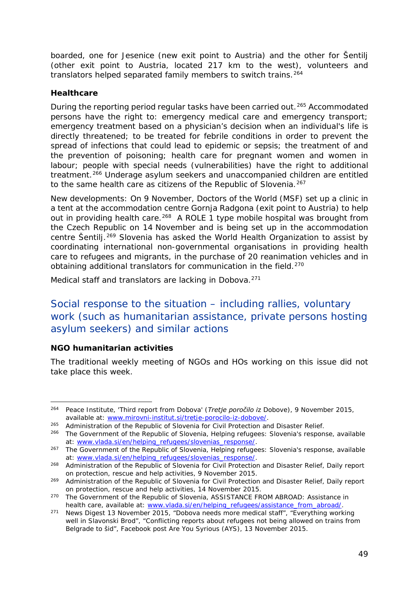<span id="page-48-5"></span>boarded, one for Jesenice (new exit point to Austria) and the other for Šentilj (other exit point to Austria, located 217 km to the west), volunteers and translators helped separated family members to switch trains.<sup>[264](#page-48-0)</sup>

#### **Healthcare**

During the reporting period regular tasks have been carried out.<sup>[265](#page-48-1)</sup> Accommodated persons have the right to: emergency medical care and emergency transport; emergency treatment based on a physician's decision when an individual's life is directly threatened; to be treated for febrile conditions in order to prevent the spread of infections that could lead to epidemic or sepsis; the treatment of and the prevention of poisoning; health care for pregnant women and women in labour; people with special needs (vulnerabilities) have the right to additional treatment.<sup>[266](#page-48-2)</sup> Underage asylum seekers and unaccompanied children are entitled to the same health care as citizens of the Republic of Slovenia.<sup>[267](#page-48-3)</sup>

New developments: On 9 November, Doctors of the World (MSF) set up a clinic in a tent at the accommodation centre Gornja Radgona (exit point to Austria) to help out in providing health care.<sup>268</sup> A ROLE 1 type mobile hospital was brought from the Czech Republic on 14 November and is being set up in the accommodation centre Šentilj.<sup>[269](#page-48-5)</sup> Slovenia has asked the World Health Organization to assist by coordinating international non-governmental organisations in providing health care to refugees and migrants, in the purchase of 20 reanimation vehicles and in obtaining additional translators for communication in the field.<sup>[270](#page-48-5)</sup>

Medical staff and translators are lacking in Dobova.[271](#page-48-6)

## Social response to the situation – including rallies, voluntary work (such as humanitarian assistance, private persons hosting asylum seekers) and similar actions

#### **NGO humanitarian activities**

-

The traditional weekly meeting of NGOs and HOs working on this issue did not take place this week.

<span id="page-48-0"></span><sup>264</sup> Peace Institute, 'Third report from Dobova' (*Tretje poročilo iz Dobove*), 9 November 2015, available at: [www.mirovni-institut.si/tretje-porocilo-iz-dobove/.](http://www.mirovni-institut.si/tretje-porocilo-iz-dobove/)

<span id="page-48-1"></span><sup>&</sup>lt;sup>265</sup> Administration of the Republic of Slovenia for Civil Protection and Disaster Relief.

<span id="page-48-2"></span><sup>266</sup> The Government of the Republic of Slovenia, *Helping refugees: Slovenia's response*, available at: [www.vlada.si/en/helping\\_refugees/slovenias\\_response/.](http://www.vlada.si/en/helping_refugees/slovenias_response/)

<span id="page-48-3"></span><sup>267</sup> The Government of the Republic of Slovenia, *Helping refugees: Slovenia's response*, available at: [www.vlada.si/en/helping\\_refugees/slovenias\\_response/.](http://www.vlada.si/en/helping_refugees/slovenias_response/)

<span id="page-48-4"></span><sup>268</sup> Administration of the Republic of Slovenia for Civil Protection and Disaster Relief, *Daily report on protection, rescue and help activities*, 9 November 2015.

<sup>269</sup> Administration of the Republic of Slovenia for Civil Protection and Disaster Relief, *Daily report on protection, rescue and help activities*, 14 November 2015.

<sup>270</sup> The Government of the Republic of Slovenia*, ASSISTANCE FROM ABROAD: Assistance in health care*, available at: [www.vlada.si/en/helping\\_refugees/assistance\\_from\\_abroad/.](http://www.vlada.si/en/helping_refugees/assistance_from_abroad/)

<span id="page-48-6"></span><sup>271</sup> News Digest 13 November 2015, *"Dobova needs more medical staff", "Everything working well in Slavonski Brod", "Conflicting reports about refugees not being allowed on trains from Belgrade to šid",* Facebook post Are You Syrious (AYS), 13 November 2015.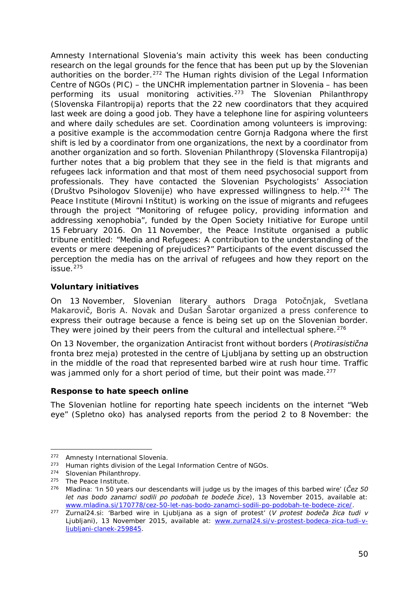<span id="page-49-1"></span>Amnesty International Slovenia's main activity this week has been conducting research on the legal grounds for the fence that has been put up by the Slovenian authorities on the border.<sup>[272](#page-49-0)</sup> The Human rights division of the Legal Information Centre of NGOs (*PIC*) – the UNCHR implementation partner in Slovenia – has been performing its usual monitoring activities.<sup>[273](#page-49-1)</sup> The Slovenian Philanthropy (*Slovenska Filantropija*) reports that the 22 new coordinators that they acquired last week are doing a good job. They have a telephone line for aspiring volunteers and where daily schedules are set. Coordination among volunteers is improving: a positive example is the accommodation centre Gornja Radgona where the first shift is led by a coordinator from one organizations, the next by a coordinator from another organization and so forth. Slovenian Philanthropy (*Slovenska Filantropija*) further notes that a big problem that they see in the field is that migrants and refugees lack information and that most of them need psychosocial support from professionals. They have contacted the Slovenian Psychologists' Association (*Društvo Psihologov Slovenije*) who have expressed willingness to help.[274](#page-49-1) The Peace Institute (*Mirovni Inštitut*) is working on the issue of migrants and refugees through the project "Monitoring of refugee policy, providing information and addressing xenophobia", funded by the Open Society Initiative for Europe until 15 February 2016. On 11 November, the Peace Institute organised a public tribune entitled: "*Media and Refugees: A contribution to the understanding of the events or mere deepening of prejudices?*" Participants of the event discussed the perception the media has on the arrival of refugees and how they report on the  $i$ ssue. $275$ 

#### **Voluntary initiatives**

On 13 November, Slovenian literary authors Draga Potočnjak, Svetlana Makarovič, Boris A. Novak and Dušan Šarotar organized a press conference to express their outrage because a fence is being set up on the Slovenian border. They were joined by their peers from the cultural and intellectual sphere.<sup>[276](#page-49-2)</sup>

On 13 November, the organization Antiracist front without borders (*Protirasistična fronta brez meja*) protested in the centre of Ljubljana by setting up an obstruction in the middle of the road that represented barbed wire at rush hour time. Traffic was jammed only for a short period of time, but their point was made.<sup>[277](#page-49-3)</sup>

#### **Response to hate speech online**

The Slovenian hotline for reporting hate speech incidents on the internet "Web eye" (*Spletno oko*) has analysed reports from the period 2 to 8 November: the

<sup>272</sup> Amnesty International Slovenia. j,

<span id="page-49-0"></span><sup>&</sup>lt;sup>273</sup> Human rights division of the Legal Information Centre of NGOs.

<sup>274</sup> Slovenian Philanthropy.

<sup>275</sup> The Peace Institute.

<span id="page-49-2"></span><sup>276</sup> Mladina: 'In 50 years our descendants will judge us by the images of this barbed wire' (*Čez 50 let nas bodo zanamci sodili po podobah te bodeče žice*), 13 November 2015, available at: [www.mladina.si/170778/cez-50-let-nas-bodo-zanamci-sodili-po-podobah-te-bodece-zice/.](http://www.mladina.si/170778/cez-50-let-nas-bodo-zanamci-sodili-po-podobah-te-bodece-zice/)

<span id="page-49-3"></span><sup>277</sup> Zurnal24.si: 'Barbed wire in Ljubljana as a sign of protest' (*V protest bodeča žica tudi v Ljubljani*), 13 November 2015, available at: [www.zurnal24.si/v-prostest-bodeca-zica-tudi-v](http://www.zurnal24.si/v-prostest-bodeca-zica-tudi-v-ljubljani-clanek-259845)[ljubljani-clanek-259845.](http://www.zurnal24.si/v-prostest-bodeca-zica-tudi-v-ljubljani-clanek-259845)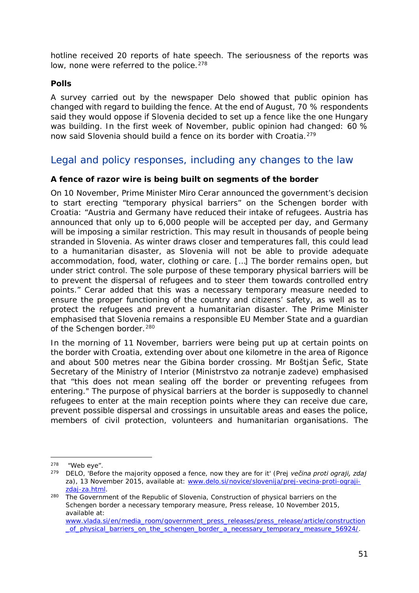hotline received 20 reports of hate speech. The seriousness of the reports was low, none were referred to the police.<sup>[278](#page-50-0)</sup>

#### **Polls**

A survey carried out by the newspaper Delo showed that public opinion has changed with regard to building the fence. At the end of August, 70 % respondents said they would oppose if Slovenia decided to set up a fence like the one Hungary was building. In the first week of November, public opinion had changed: 60 % now said Slovenia should build a fence on its border with Croatia.<sup>[279](#page-50-1)</sup>

### Legal and policy responses, including any changes to the law

#### **A fence of razor wire is being built on segments of the border**

On 10 November, Prime Minister Miro Cerar announced the government's decision to start erecting "temporary physical barriers" on the Schengen border with Croatia: "*Austria and Germany have reduced their intake of refugees. Austria has announced that only up to 6,000 people will be accepted per day, and Germany*  will be imposing a similar restriction. This may result in thousands of people being *stranded in Slovenia. As winter draws closer and temperatures fall, this could lead to a humanitarian disaster, as Slovenia will not be able to provide adequate accommodation, food, water, clothing or care. […] The border remains open, but under strict control. The sole purpose of these temporary physical barriers will be to prevent the dispersal of refugees and to steer them towards controlled entry points.*" Cerar added that this was a necessary temporary measure needed to ensure the proper functioning of the country and citizens' safety, as well as to protect the refugees and prevent a humanitarian disaster. The Prime Minister emphasised that Slovenia remains a responsible EU Member State and a guardian of the Schengen border.<sup>[280](#page-50-2)</sup>

In the morning of 11 November, barriers were being put up at certain points on the border with Croatia, extending over about one kilometre in the area of Rigonce and about 500 metres near the Gibina border crossing. Mr Boštjan Šefic, State Secretary of the Ministry of Interior (*Ministrstvo za notranje zadeve*) emphasised that "this does not mean sealing off the border or preventing refugees from entering." The purpose of physical barriers at the border is supposedly to channel refugees to enter at the main reception points where they can receive due care, prevent possible dispersal and crossings in unsuitable areas and eases the police, members of civil protection, volunteers and humanitarian organisations. The

j,

<span id="page-50-0"></span> $^{278}$  "Web eye".<br> $^{279}$  DELO 'Before

<span id="page-50-1"></span><sup>279</sup> DELO, 'Before the majority opposed a fence, now they are for it' (*Prej večina proti ograji, zdaj za*), 13 November 2015, available at: [www.delo.si/novice/slovenija/prej-vecina-proti-ograji](http://www.delo.si/novice/slovenija/prej-vecina-proti-ograji-zdaj-za.html)[zdaj-za.html.](http://www.delo.si/novice/slovenija/prej-vecina-proti-ograji-zdaj-za.html)

<span id="page-50-2"></span><sup>280</sup> The Government of the Republic of Slovenia, *Construction of physical barriers on the Schengen border a necessary temporary measure*, Press release, 10 November 2015, available at: [www.vlada.si/en/media\\_room/government\\_press\\_releases/press\\_release/article/construction](http://www.vlada.si/en/media_room/government_press_releases/press_release/article/construction_of_physical_barriers_on_the_schengen_border_a_necessary_temporary_measure_56924/) [\\_of\\_physical\\_barriers\\_on\\_the\\_schengen\\_border\\_a\\_necessary\\_temporary\\_measure\\_56924/.](http://www.vlada.si/en/media_room/government_press_releases/press_release/article/construction_of_physical_barriers_on_the_schengen_border_a_necessary_temporary_measure_56924/)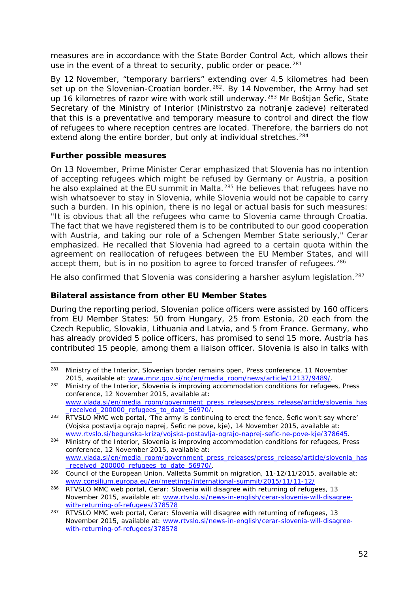<span id="page-51-5"></span>measures are in accordance with the State Border Control Act, which allows their use in the event of a threat to security, public order or peace.<sup>[281](#page-51-0)</sup>

By 12 November, "temporary barriers" extending over 4.5 kilometres had been set up on the Slovenian-Croatian border.<sup>282</sup>. By 14 November, the Army had set up 16 kilometres of razor wire with work still underway.<sup>[283](#page-51-2)</sup> Mr Boštjan Šefic, State Secretary of the Ministry of Interior (*Ministrstvo za notranje zadeve*) reiterated that this is a preventative and temporary measure to control and direct the flow of refugees to where reception centres are located. Therefore, the barriers do not extend along the entire border, but only at individual stretches.<sup>[284](#page-51-3)</sup>

#### **Further possible measures**

On 13 November, Prime Minister Cerar emphasized that Slovenia has no intention of accepting refugees which might be refused by Germany or Austria, a position he also explained at the EU summit in Malta.<sup>[285](#page-51-4)</sup> He believes that refugees have no wish whatsoever to stay in Slovenia, while Slovenia would not be capable to carry such a burden. In his opinion, there is no legal or actual basis for such measures: "*It is obvious that all the refugees who came to Slovenia came through Croatia. The fact that we have registered them is to be contributed to our good cooperation with Austria, and taking our role of a Schengen Member State seriously*," Cerar emphasized. He recalled that Slovenia had agreed to a certain quota within the agreement on reallocation of refugees between the EU Member States, and will accept them, but is in no position to agree to forced transfer of refugees.<sup>286</sup>

He also confirmed that Slovenia was considering a harsher asylum legislation.<sup>[287](#page-51-6)</sup>

#### **Bilateral assistance from other EU Member States**

During the reporting period, Slovenian police officers were assisted by 160 officers from EU Member States: 50 from Hungary, 25 from Estonia, 20 each from the Czech Republic, Slovakia, Lithuania and Latvia, and 5 from France. Germany, who has already provided 5 police officers, has promised to send 15 more. Austria has contributed 15 people, among them a liaison officer. Slovenia is also in talks with

<span id="page-51-0"></span><sup>281</sup> Ministry of the Interior, *Slovenian border remains open*, Press conference, 11 November 2015, available at: [www.mnz.gov.si/nc/en/media\\_room/news/article/12137/9489/.](http://www.mnz.gov.si/nc/en/media_room/news/article/12137/9489/) -

<span id="page-51-1"></span><sup>282</sup> Ministry of the Interior, *Slovenia is improving accommodation conditions for refugees*, Press conference, 12 November 2015, available at: [www.vlada.si/en/media\\_room/government\\_press\\_releases/press\\_release/article/slovenia\\_has](http://www.vlada.si/en/media_room/government_press_releases/press_release/article/slovenia_has_received_200000_refugees_to_date_56970/) received 200000 refugees to date 56970/.

<span id="page-51-2"></span><sup>&</sup>lt;sup>283</sup> RTVSLO MMC web portal, 'The army is continuing to erect the fence, Šefic won't say where' (*Vojska postavlja ograjo naprej, Šefic ne pove, kje)*, 14 November 2015, available at: [www.rtvslo.si/begunska-kriza/vojska-postavlja-ograjo-naprej-sefic-ne-pove-kje/378645.](http://www.rtvslo.si/begunska-kriza/vojska-postavlja-ograjo-naprej-sefic-ne-pove-kje/378645)

<span id="page-51-3"></span><sup>284</sup> Ministry of the Interior, *Slovenia is improving accommodation conditions for refugees*, Press conference, 12 November 2015, available at: [www.vlada.si/en/media\\_room/government\\_press\\_releases/press\\_release/article/slovenia\\_has](http://www.vlada.si/en/media_room/government_press_releases/press_release/article/slovenia_has_received_200000_refugees_to_date_56970/) [\\_received\\_200000\\_refugees\\_to\\_date\\_56970/.](http://www.vlada.si/en/media_room/government_press_releases/press_release/article/slovenia_has_received_200000_refugees_to_date_56970/)

<span id="page-51-4"></span><sup>285</sup> Council of the European Union, *Valletta Summit on migration, 11-12/11/2015*, available at: [www.consilium.europa.eu/en/meetings/international-summit/2015/11/11-12/](http://www.consilium.europa.eu/en/meetings/international-summit/2015/11/11-12/)

<sup>286</sup> RTVSLO MMC web portal, *Cerar: Slovenia will disagree with returning of refugees*, 13 November 2015, available at: [www.rtvslo.si/news-in-english/cerar-slovenia-will-disagree](http://www.rtvslo.si/news-in-english/cerar-slovenia-will-disagree-with-returning-of-refugees/378578)[with-returning-of-refugees/378578](http://www.rtvslo.si/news-in-english/cerar-slovenia-will-disagree-with-returning-of-refugees/378578)

<span id="page-51-6"></span><sup>287</sup> RTVSLO MMC web portal, *Cerar: Slovenia will disagree with returning of refugees*, 13 November 2015, available at: [www.rtvslo.si/news-in-english/cerar-slovenia-will-disagree](http://www.rtvslo.si/news-in-english/cerar-slovenia-will-disagree-with-returning-of-refugees/378578)[with-returning-of-refugees/378578](http://www.rtvslo.si/news-in-english/cerar-slovenia-will-disagree-with-returning-of-refugees/378578)